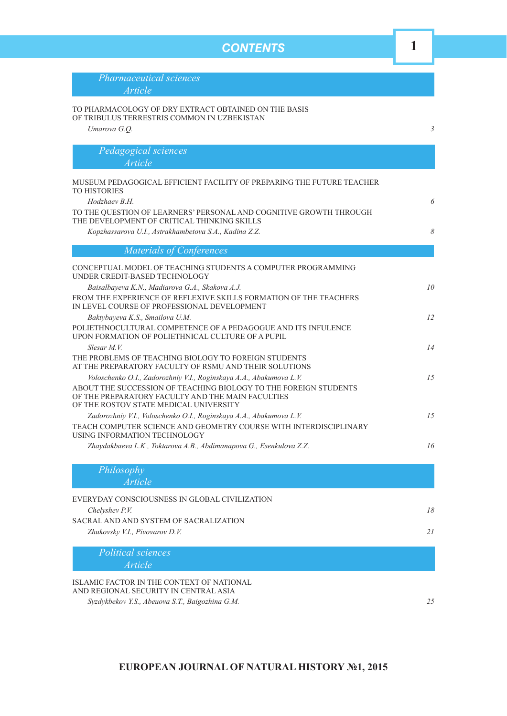# *CONTENTS* **1**

| <i>Pharmaceutical sciences</i><br><b>Article</b>                                                                                                                                                                                       |                 |
|----------------------------------------------------------------------------------------------------------------------------------------------------------------------------------------------------------------------------------------|-----------------|
| TO PHARMACOLOGY OF DRY EXTRACT OBTAINED ON THE BASIS<br>OF TRIBULUS TERRESTRIS COMMON IN UZBEKISTAN<br>Umarova G.Q.                                                                                                                    | 3               |
| Pedagogical sciences<br><b>Article</b>                                                                                                                                                                                                 |                 |
| MUSEUM PEDAGOGICAL EFFICIENT FACILITY OF PREPARING THE FUTURE TEACHER<br>TO HISTORIES<br>Hodzhaev B.H.                                                                                                                                 | 6               |
| TO THE QUESTION OF LEARNERS' PERSONAL AND COGNITIVE GROWTH THROUGH<br>THE DEVELOPMENT OF CRITICAL THINKING SKILLS                                                                                                                      |                 |
| Kopzhassarova U.I., Astrakhambetova S.A., Kadina Z.Z.                                                                                                                                                                                  | 8               |
| <b>Materials of Conferences</b><br>CONCEPTUAL MODEL OF TEACHING STUDENTS A COMPUTER PROGRAMMING                                                                                                                                        |                 |
| UNDER CREDIT-BASED TECHNOLOGY<br>Baisalbayeva K.N., Madiarova G.A., Skakova A.J.                                                                                                                                                       | 10 <sup>2</sup> |
| FROM THE EXPERIENCE OF REFLEXIVE SKILLS FORMATION OF THE TEACHERS<br>IN LEVEL COURSE OF PROFESSIONAL DEVELOPMENT                                                                                                                       |                 |
| Baktybayeva K.S., Smailova U.M.<br>POLIETHNOCULTURAL COMPETENCE OF A PEDAGOGUE AND ITS INFULENCE                                                                                                                                       | 12              |
| UPON FORMATION OF POLIETHNICAL CULTURE OF A PUPIL<br>Slesar M.V.                                                                                                                                                                       | 14              |
| THE PROBLEMS OF TEACHING BIOLOGY TO FOREIGN STUDENTS<br>AT THE PREPARATORY FACULTY OF RSMU AND THEIR SOLUTIONS                                                                                                                         |                 |
| Voloschenko O.I., Zadorozhniy V.I., Roginskaya A.A., Abakumova L.V.<br>ABOUT THE SUCCESSION OF TEACHING BIOLOGY TO THE FOREIGN STUDENTS<br>OF THE PREPARATORY FACULTY AND THE MAIN FACULTIES<br>OF THE ROSTOV STATE MEDICAL UNIVERSITY | 15              |
| Zadorozhniy V.I., Voloschenko O.I., Roginskaya A.A., Abakumova L.V.<br>TEACH COMPUTER SCIENCE AND GEOMETRY COURSE WITH INTERDISCIPLINARY                                                                                               | 15              |
| USING INFORMATION TECHNOLOGY<br>Zhaydakbaeva L.K., Toktarova A.B., Abdimanapova G., Esenkulova Z.Z.                                                                                                                                    | 16              |
| Philosophy<br><b>Article</b>                                                                                                                                                                                                           |                 |
| EVERYDAY CONSCIOUSNESS IN GLOBAL CIVILIZATION                                                                                                                                                                                          |                 |
| Chelyshev P.V.<br>SACRAL AND AND SYSTEM OF SACRALIZATION                                                                                                                                                                               | 18              |
| Zhukovsky V.I., Pivovarov D.V.                                                                                                                                                                                                         | 21              |
| <b>Political sciences</b><br><b>Article</b>                                                                                                                                                                                            |                 |
| ISLAMIC FACTOR IN THE CONTEXT OF NATIONAL                                                                                                                                                                                              |                 |

AND REGIONAL SECURITY IN CENTRAL ASIA *Syzdykbekov Y.S., Abeuova S.T., Baigozhina G.M. 25*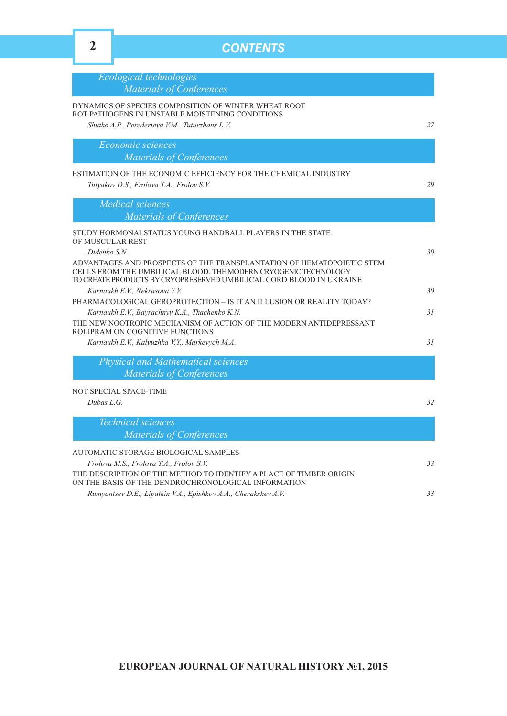# **2** *CONTENTS*

| Ecological technologies<br>Materials of Conferences                                                                                                                                                                                                                                                             |    |
|-----------------------------------------------------------------------------------------------------------------------------------------------------------------------------------------------------------------------------------------------------------------------------------------------------------------|----|
| DYNAMICS OF SPECIES COMPOSITION OF WINTER WHEAT ROOT<br>ROT PATHOGENS IN UNSTABLE MOISTENING CONDITIONS<br>Shutko A.P., Perederieva V.M., Tuturzhans L.V.                                                                                                                                                       | 27 |
| Economic sciences<br><b>Materials of Conferences</b>                                                                                                                                                                                                                                                            |    |
| ESTIMATION OF THE ECONOMIC EFFICIENCY FOR THE CHEMICAL INDUSTRY<br>Tulyakov D.S., Frolova T.A., Frolov S.V.                                                                                                                                                                                                     | 29 |
| <b>Medical sciences</b><br><b>Materials of Conferences</b>                                                                                                                                                                                                                                                      |    |
| STUDY HORMONALSTATUS YOUNG HANDBALL PLAYERS IN THE STATE<br>OF MUSCULAR REST<br>Didenko S.N.<br>ADVANTAGES AND PROSPECTS OF THE TRANSPLANTATION OF HEMATOPOIETIC STEM<br>CELLS FROM THE UMBILICAL BLOOD. THE MODERN CRYOGENIC TECHNOLOGY<br>TO CREATE PRODUCTS BY CRYOPRESERVED UMBILICAL CORD BLOOD IN UKRAINE | 30 |
| Karnaukh E.V., Nekrasova Y.V.<br>PHARMACOLOGICAL GEROPROTECTION – IS IT AN ILLUSION OR REALITY TODAY?                                                                                                                                                                                                           | 30 |
| Karnaukh E.V., Bayrachnyy K.A., Tkachenko K.N.<br>THE NEW NOOTROPIC MECHANISM OF ACTION OF THE MODERN ANTIDEPRESSANT<br>ROLIPRAM ON COGNITIVE FUNCTIONS                                                                                                                                                         | 31 |
| Karnaukh E.V., Kalyuzhka V.Y., Markevych M.A.                                                                                                                                                                                                                                                                   | 31 |
| <b>Physical and Mathematical sciences</b><br><b>Materials of Conferences</b>                                                                                                                                                                                                                                    |    |
| <b>NOT SPECIAL SPACE-TIME</b><br>Dubas L.G.                                                                                                                                                                                                                                                                     | 32 |
| <b>Technical sciences</b><br><b>Materials of Conferences</b>                                                                                                                                                                                                                                                    |    |
| AUTOMATIC STORAGE BIOLOGICAL SAMPLES<br>Frolova M.S., Frolova T.A., Frolov S.V.<br>THE DESCRIPTION OF THE METHOD TO IDENTIFY A PLACE OF TIMBER ORIGIN                                                                                                                                                           | 33 |
| ON THE BASIS OF THE DENDROCHRONOLOGICAL INFORMATION<br>Rumyantsev D.E., Lipatkin V.A., Epishkov A.A., Cherakshev A.V.                                                                                                                                                                                           | 33 |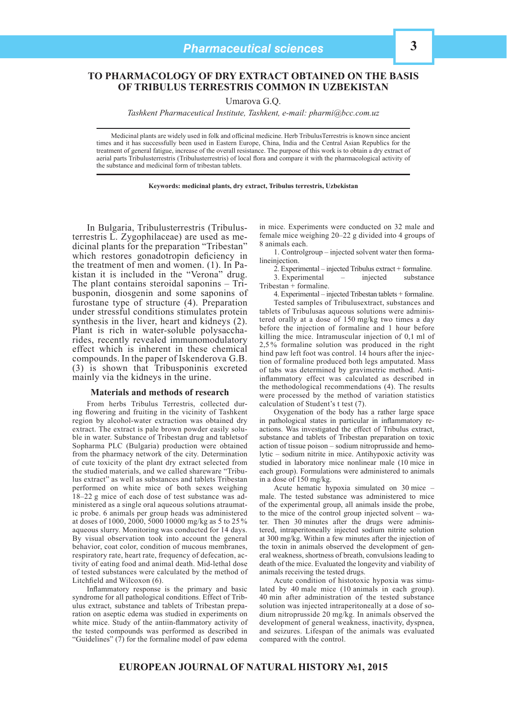# **TO PHARMACOLOGY OF DRY EXTRACT OBTAINED ON THE BASIS OF TRIBULUS TERRESTRIS COMMON IN UZBEKISTAN**

Umarova G.Q.

*Tashkent Pharmaceutical Institute, Tashkent, e-mail: pharmi@bcc.com.uz*

Medicinal plants are widely used in folk and officinal medicine. Herb TribulusTerrestris is known since ancient times and it has successfully been used in Eastern Europe, China, India and the Central Asian Republics for the treatment of general fatigue, increase of the overall resistance. The purpose of this work is to obtain a dry extract of aerial parts Tribulusterrestris (Tribulusterrestris) of local flora and compare it with the pharmacological activity of the substance and medicinal form of tribestan tablets.

#### **Keywords: medicinal plants, dry extract, Tribulus terrestris, Uzbekistan**

In Bulgaria, Tribulusterrestris (Tribulusterrestris L. Zygophilaceae) are used as medicinal plants for the preparation "Tribestan" which restores gonadotropin deficiency in the treatment of men and women. (1). In Pakistan it is included in the "Verona" drug. The plant contains steroidal saponins – Tribusponin, diosgenin and some saponins of furostane type of structure (4). Preparation under stressful conditions stimulates protein synthesis in the liver, heart and kidneys (2). Plant is rich in water-soluble polysaccharides, recently revealed immunomodulatory effect which is inherent in these chemical compounds. In the paper of Iskenderova G.B. (3) is shown that Tribusponinis excreted mainly via the kidneys in the urine.

#### **Materials and methods of research**

From herbs Tribulus Terrestris, collected during flowering and fruiting in the vicinity of Tashkent region by alcohol-water extraction was obtained dry extract. The extract is pale brown powder easily soluble in water. Substance of Tribestan drug and tabletsof Sopharma PLC (Bulgaria) production were obtained from the pharmacy network of the city. Determination of cute toxicity of the plant dry extract selected from the studied materials, and we called shareware "Tribulus extract" as well as substances and tablets Tribestan performed on white mice of both sexes weighing 18–22 g mice of each dose of test substance was administered as a single oral aqueous solutions atraumatic probe. 6 animals per group heads was administered at doses of 1000, 2000, 5000 10000 mg/kg as 5 to 25 % aqueous slurry. Monitoring was conducted for 14 days. By visual observation took into account the general behavior, coat color, condition of mucous membranes, respiratory rate, heart rate, frequency of defecation, activity of eating food and animal death. Mid-lethal dose of tested substances were calculated by the method of Litchfield and Wilcoxon (6).

Inflammatory response is the primary and basic syndrome for all pathological conditions. Effect of Tribulus extract, substance and tablets of Tribestan preparation on aseptic edema was studied in experiments on white mice. Study of the antiin-flammatory activity of the tested compounds was performed as described in "Guidelines"  $(7)$  for the formaline model of paw edema"

in mice. Experiments were conducted on 32 male and female mice weighing 20–22 g divided into 4 groups of 8 animals each.

1. Controlgroup – injected solvent water then forma**lineiniection** 

2. Experimental – injected Tribulus extract + formaline.

3. Experimental  $-$ Tribestan + formaline.

4. Experimental – injected Tribestan tablets + formaline. Tested samples of Tribulusextract, substances and tablets of Tribulusas aqueous solutions were administered orally at a dose of 150 mg/kg two times a day before the injection of formaline and 1 hour before killing the mice. Intramuscular injection of 0,1 ml of 2,5 % formaline solution was produced in the right hind paw left foot was control. 14 hours after the injection of formaline produced both legs amputated. Mass of tabs was determined by gravimetric method. Antiinflammatory effect was calculated as described in the methodological recommendations (4). The results were processed by the method of variation statistics calculation of Student's t test (7).

Oxygenation of the body has a rather large space in pathological states in particular in inflammatory reactions. Was investigated the effect of Tribulus extract, substance and tablets of Tribestan preparation on toxic action of tissue poison – sodium nitroprusside and hemolytic – sodium nitrite in mice. Antihypoxic activity was studied in laboratory mice nonlinear male (10 mice in each group). Formulations were administered to animals in a dose of 150 mg/kg.

Acute hematic hypoxia simulated on 30 mice – male. The tested substance was administered to mice of the experimental group, all animals inside the probe, to the mice of the control group injected solvent – water. Then 30 minutes after the drugs were administered, intraperitoneally injected sodium nitrite solution at 300 mg/kg. Within a few minutes after the injection of the toxin in animals observed the development of general weakness, shortness of breath, convulsions leading to death of the mice. Evaluated the longevity and viability of animals receiving the tested drugs.

Acute condition of histotoxic hypoxia was simulated by 40 male mice (10 animals in each group). 40 min after administration of the tested substance solution was injected intraperitoneally at a dose of sodium nitroprusside 20 mg/kg. In animals observed the development of general weakness, inactivity, dyspnea, and seizures. Lifespan of the animals was evaluated compared with the control.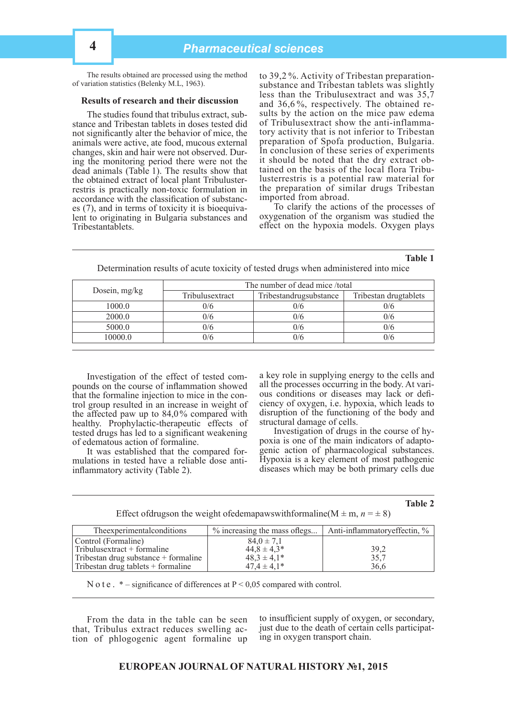The results obtained are processed using the method of variation statistics (Belenky M.L, 1963).

# **Results of research and their discussion**

The studies found that tribulus extract, substance and Tribestan tablets in doses tested did not significantly alter the behavior of mice, the animals were active, ate food, mucous external changes, skin and hair were not observed. During the monitoring period there were not the dead animals (Table 1). The results show that the obtained extract of local plant Tribulusterrestris is practically non-toxic formulation in accordance with the classification of substances (7), and in terms of toxicity it is bioequivalent to originating in Bulgaria substances and Tribestantablets.

to 39,2 %. Activity of Tribestan preparationsubstance and Tribestan tablets was slightly less than the Tribulusextract and was 35,7 and 36,6 %, respectively. The obtained results by the action on the mice paw edema of Tribulusextract show the anti-inflammatory activity that is not inferior to Tribestan preparation of Spofa production, Bulgaria. In conclusion of these series of experiments it should be noted that the dry extract obtained on the basis of the local flora Tribulusterrestris is a potential raw material for the preparation of similar drugs Tribestan imported from abroad.

To clarify the actions of the processes of oxygenation of the organism was studied the effect on the hypoxia models. Oxygen plays

#### **Table 1**

|               | The number of dead mice/total |                        |                       |
|---------------|-------------------------------|------------------------|-----------------------|
| Dosein, mg/kg | Tribulusextract               | Tribestandrugsubstance | Tribestan drugtablets |
| 1000.0        | 0/6                           | 0/6                    | 0/6                   |
| 2000.0        | 0/6                           | 0/6                    | 0/6                   |
| 5000.0        | 0/6                           | 0/6                    | 0/6                   |
| 10000.0       | 0/6                           | 0/6                    | 0/6                   |

Determination results of acute toxicity of tested drugs when administered into mice

Investigation of the effect of tested compounds on the course of inflammation showed that the formaline injection to mice in the control group resulted in an increase in weight of the affected paw up to 84,0 % compared with healthy. Prophylactic-therapeutic effects of tested drugs has led to a significant weakening of edematous action of formaline.

It was established that the compared formulations in tested have a reliable dose antiinflammatory activity (Table 2).

a key role in supplying energy to the cells and all the processes occurring in the body. At various conditions or diseases may lack or defi - ciency of oxygen, i.e. hypoxia, which leads to disruption of the functioning of the body and structural damage of cells.

Investigation of drugs in the course of hypoxia is one of the main indicators of adaptogenic action of pharmacological substances. Hypoxia is a key element of most pathogenic diseases which may be both primary cells due

#### **Table 2**

Effect of drugson the weight of edemapaws with formaline ( $M \pm m$ ,  $n = \pm 8$ )

| The experimental conditions          | % increasing the mass of legs | Anti-inflammatory effectin, % |
|--------------------------------------|-------------------------------|-------------------------------|
| Control (Formaline)                  | $84.0 \pm 7.1$                |                               |
| Tribulus extract + formaline         | $44.8 \pm 4.3*$               | 39,2                          |
| Tribestan drug substance + formaline | $48.3 \pm 4.1*$               | 35,7                          |
| Tribestan drug tablets + formaline   | $47.4 \pm 4.1*$               | 36.6                          |

N o t e  $*$  – significance of differences at P < 0,05 compared with control.

From the data in the table can be seen that, Tribulus extract reduces swelling action of phlogogenic agent formaline up

to insufficient supply of oxygen, or secondary, just due to the death of certain cells participating in oxygen transport chain.

# **EUROPEAN JOURNAL OF NATURAL HISTORY №1, 2015**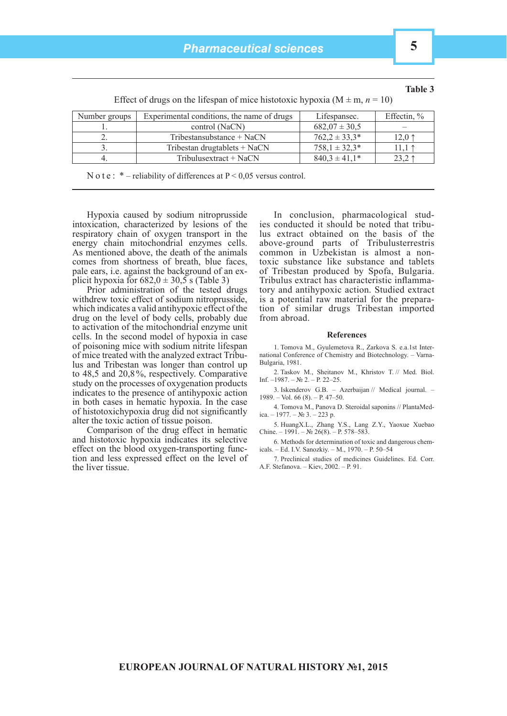**Table 3**

| Number groups | Experimental conditions, the name of drugs | Lifespansec.       | Effectin, $\%$          |
|---------------|--------------------------------------------|--------------------|-------------------------|
|               | control (NaCN)                             | $682,07 \pm 30,5$  |                         |
| ٠.            | Tribestan substance $+$ NaCN               | $762.2 \pm 33.3^*$ | $12.0 \text{ }^{\circ}$ |
|               | Tribestan drugtablets $+$ NaCN             | $758.1 \pm 32.3^*$ |                         |
| 4.            | Tribulus extract + NaCN                    | $840.3 \pm 41.1*$  | 23.2 1                  |

Effect of drugs on the lifespan of mice histotoxic hypoxia ( $M \pm m$ ,  $n = 10$ )

N o t e :  $*$  – reliability of differences at  $P \le 0.05$  versus control.

Hypoxia caused by sodium nitroprusside intoxication, characterized by lesions of the respiratory chain of oxygen transport in the energy chain mitochondrial enzymes cells. As mentioned above, the death of the animals comes from shortness of breath, blue faces, pale ears, i.e. against the background of an explicit hypoxia for  $682,0 \pm 30,5$  s (Table 3)

Prior administration of the tested drugs withdrew toxic effect of sodium nitroprusside, which indicates a valid antihypoxic effect of the drug on the level of body cells, probably due to activation of the mitochondrial enzyme unit cells. In the second model of hypoxia in case of poisoning mice with sodium nitrite lifespan of mice treated with the analyzed extract Tribulus and Tribestan was longer than control up to 48,5 and 20,8 %, respectively. Comparative study on the processes of oxygenation products indicates to the presence of antihypoxic action in both cases in hematic hypoxia. In the case of histotoxichy poxia drug did not significantly alter the toxic action of tissue poison.

Comparison of the drug effect in hematic and histotoxic hypoxia indicates its selective effect on the blood oxygen-transporting function and less expressed effect on the level of the liver tissue.

In conclusion, pharmacological studies conducted it should be noted that tribulus extract obtained on the basis of the above-ground parts of Tribulusterrestris common in Uzbekistan is almost a nontoxic substance like substance and tablets of Tribestan produced by Spofa, Bulgaria. Tribulus extract has characteristic inflammatory and antihypoxic action. Studied extract is a potential raw material for the preparation of similar drugs Tribestan imported from abroad.

#### **References**

1. Tomova M., Gyulemetova R., Zarkova S. e.a.1st International Conference of Chemistry and Biotechnology. – Varna-Bulgaria, 1981.

2. Taskov M., Sheitanov M., Khristov T. // Med. Biol. Inf.  $-1987. - N_2 2. - P. 22 - 25.$ 

3. Iskenderov G.B. – Azerbaijan // Medical journal. – 1989. – Vol. 66 (8). – Р. 47–50.

4. Tomova M., Panova D. Steroidal saponins // PlantaMedica. – 1977. – № 3. – 223 р.

5. HuangX.L., Zhang Y.S., Lang Z.Y., Yaoxue Xuebao Chine. – 1991. – № 26(8). – P. 578–583.

6. Methods for determination of toxic and dangerous chemicals. – Ed. I.V. Sanozkiy. – M., 1970. – Р. 50–54

7. Preclinical studies of medicines Guidelines. Ed. Corr. A.F. Stefanova. – Kiev, 2002. – Р. 91.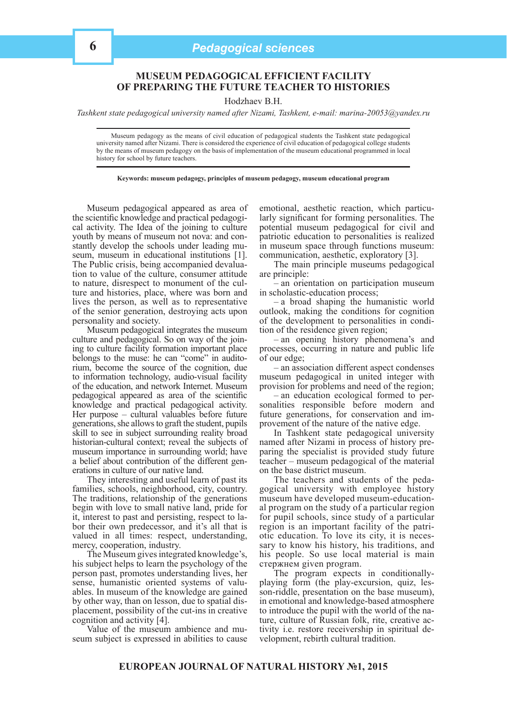# **MUSEUM PEDAGOGICAL EFFICIENT FACILITY OF PREPARING THE FUTURE TEACHER TO HISTORIES**

Hodzhaev B.H.

*Tashkent state pedagogical university named after Nizami, Tashkent, e-mail: marina-20053@yandex.ru*

Museum pedagogy as the means of civil education of pedagogical students the Tashkent state pedagogical university named after Nizami. There is considered the experience of civil education of pedagogical college students by the means of museum pedagogy on the basis of implementation of the museum educational programmed in local history for school by future teachers.

**Keywords: museum pedagogy, principles of museum pedagogy, museum educational program**

Museum pedagogical appeared as area of the scientific knowledge and practical pedagogical activity. The Idea of the joining to culture youth by means of museum not nova: and constantly develop the schools under leading museum, museum in educational institutions [1]. The Public crisis, being accompanied devaluation to value of the culture, consumer attitude to nature, disrespect to monument of the culture and histories, place, where was born and lives the person, as well as to representative of the senior generation, destroying acts upon personality and society.

Museum pedagogical integrates the museum culture and pedagogical. So on way of the joining to culture facility formation important place belongs to the muse: he can "come" in auditorium, become the source of the cognition, due to information technology, audio-visual facility of the education, and network Internet. Museum pedagogical appeared as area of the scientific knowledge and practical pedagogical activity. Her purpose – cultural valuables before future generations, she allows to graft the student, pupils skill to see in subject surrounding reality broad historian-cultural context; reveal the subjects of museum importance in surrounding world; have a belief about contribution of the different generations in culture of our native land.

They interesting and useful learn of past its families, schools, neighborhood, city, country. The traditions, relationship of the generations begin with love to small native land, pride for it, interest to past and persisting, respect to labor their own predecessor, and it's all that is valued in all times: respect, understanding, mercy, cooperation, industry.

The Museum gives integrated knowledge's, his subject helps to learn the psychology of the person past, promotes understanding lives, her sense, humanistic oriented systems of valuables. In museum of the knowledge are gained by other way, than on lesson, due to spatial displacement, possibility of the cut-ins in creative cognition and activity [4].

Value of the museum ambience and museum subject is expressed in abilities to cause

emotional, aesthetic reaction, which particularly significant for forming personalities. The potential museum pedagogical for civil and patriotic education to personalities is realized in museum space through functions museum: communication, aesthetic, exploratory [3].

The main principle museums pedagogical are principle:

– an orientation on participation museum in scholastic-education process;

– a broad shaping the humanistic world outlook, making the conditions for cognition of the development to personalities in condition of the residence given region;

– an opening history phenomena's and processes, occurring in nature and public life of our edge;

– an association different aspect condenses museum pedagogical in united integer with provision for problems and need of the region;

– an education ecological formed to personalities responsible before modern and future generations, for conservation and improvement of the nature of the native edge.

In Tashkent state pedagogical university named after Nizami in process of history preparing the specialist is provided study future teacher – museum pedagogical of the material on the base district museum.

The teachers and students of the pedagogical university with employee history museum have developed museum-educational program on the study of a particular region for pupil schools, since study of a particular region is an important facility of the patriotic education. To love its city, it is necessary to know his history, his traditions, and his people. So use local material is main стержнем given program.

The program expects in conditionallyplaying form (the play-excursion, quiz, lesson-riddle, presentation on the base museum), in emotional and knowledge-based atmosphere to introduce the pupil with the world of the nature, culture of Russian folk, rite, creative activity i.e. restore receivership in spiritual development, rebirth cultural tradition.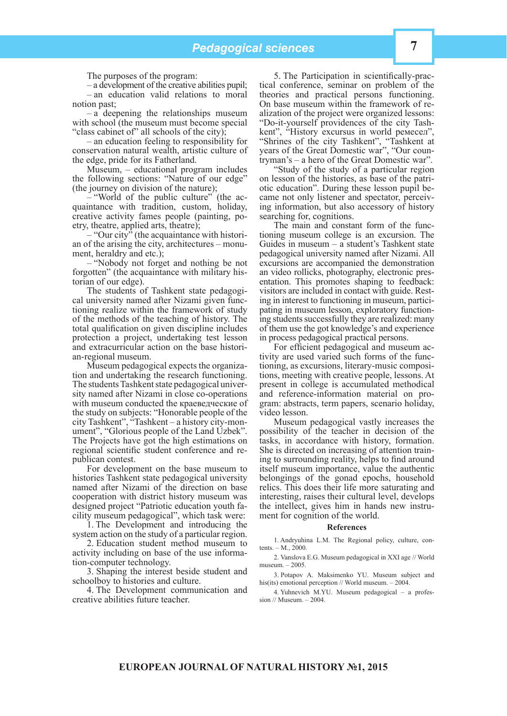The purposes of the program:

– a development of the creative abilities pupil; – an education valid relations to moral notion past;

– a deepening the relationships museum with school (the museum must become special "class cabinet of" all schools of the city)

– an education feeling to responsibility for conservation natural wealth, artistic culture of the edge, pride for its Fatherland.

Museum, – educational program includes the following sections: "Nature of our edge" (the journey on division of the nature);

– "World of the public culture" (the acquaintance with tradition, custom, holiday, creative activity fames people (painting, poetry, theatre, applied arts, theatre);

 $-$  "Our city" (the acquaintance with historian of the arising the city, architectures – monument, heraldry and etc.);

– "Nobody not forget and nothing be not forgotten" (the acquaintance with military historian of our edge).

The students of Tashkent state pedagogical university named after Nizami given functioning realize within the framework of study of the methods of the teaching of history. The total qualification on given discipline includes protection a project, undertaking test lesson and extracurricular action on the base historian-regional museum.

Museum pedagogical expects the organization and undertaking the research functioning. The students Tashkent state pedagogical university named after Nizami in close co-operations with museum conducted the краеведческие of the study on subjects: "Honorable people of the city Tashkent", "Tashkent – a history city-monument", "Glorious people of the Land Uzbek". The Projects have got the high estimations on regional scientific student conference and republican contest.

For development on the base museum to histories Tashkent state pedagogical university named after Nizami of the direction on base cooperation with district history museum was designed project "Patriotic education youth facility museum pedagogical", which task were:

1. The Development and introducing the system action on the study of a particular region.

2. Education student method museum to activity including on base of the use information-computer technology.

3. Shaping the interest beside student and schoolboy to histories and culture.

4. The Development communication and creative abilities future teacher.

5. The Participation in scientifically-practical conference, seminar on problem of the theories and practical persons functioning. On base museum within the framework of realization of the project were organized lessons: "Do-it-yourself providences of the city Tashkent", "History excursus in world ремесел", "Shrines of the city Tashkent", "Tashkent at years of the Great Domestic war", "Our countryman's – a hero of the Great Domestic war".

"Study of the study of a particular region on lesson of the histories, as base of the patriotic education". During these lesson pupil became not only listener and spectator, perceiving information, but also accessory of history searching for, cognitions.

The main and constant form of the functioning museum college is an excursion. The Guides in museum – a student's Tashkent state pedagogical university named after Nizami. All excursions are accompanied the demonstration an video rollicks, photography, electronic presentation. This promotes shaping to feedback: visitors are included in contact with guide. Resting in interest to functioning in museum, participating in museum lesson, exploratory functioning students successfully they are realized: many of them use the got knowledge's and experience in process pedagogical practical persons.

For efficient pedagogical and museum activity are used varied such forms of the functioning, as excursions, literary-music compositions, meeting with creative people, lessons. At present in college is accumulated methodical and reference-information material on program: abstracts, term papers, scenario holiday, video lesson.

Museum pedagogical vastly increases the possibility of the teacher in decision of the tasks, in accordance with history, formation. She is directed on increasing of attention training to surrounding reality, helps to find around itself museum importance, value the authentic belongings of the gonad epochs, household relics. This does their life more saturating and interesting, raises their cultural level, develops the intellect, gives him in hands new instrument for cognition of the world.

#### **References**

1. Andryuhina L.M. The Regional policy, culture, contents. – M., 2000.

2. Vanslova E.G. Museum pedagogical in XXI age // World museum. – 2005.

3. Potapov A. Maksimenko YU. Museum subject and his(its) emotional perception // World museum. – 2004.

4. Yuhnevich M.YU. Museum pedagogical – a profession // Museum. – 2004.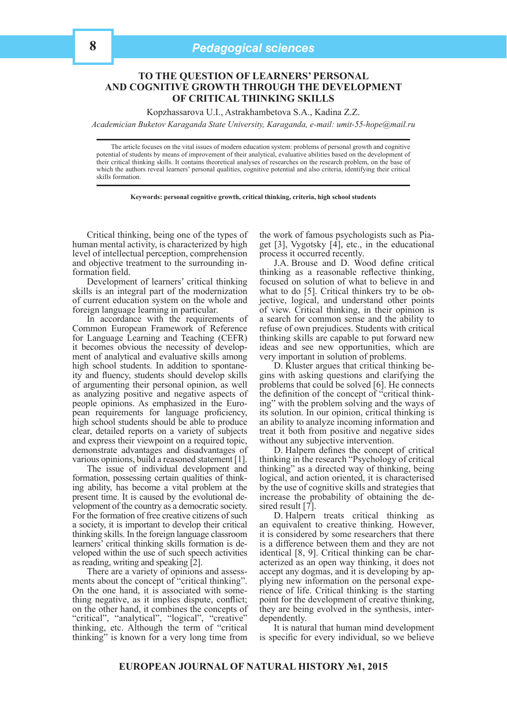# **TO THE QUESTION OF LEARNERS' PERSONAL AND COGNITIVE GROWTH THROUGH THE DEVELOPMENT OF CRITICAL THINKING SKILLS**

Kopzhassarova U.I., Astrakhambetova S.A., Kadina Z.Z.

*Academician Buketov Karaganda State University, Karaganda, e-mail: umit-55-hope@mail.ru*

The article focuses on the vital issues of modern education system: problems of personal growth and cognitive potential of students by means of improvement of their analytical, evaluative abilities based on the development of their critical thinking skills. It contains theoretical analyses of researches on the research problem, on the base of which the authors reveal learners' personal qualities, cognitive potential and also criteria, identifying their critical skills formation.

**Keywords: personal cognitive growth, critical thinking, criteria, high school students**

Critical thinking, being one of the types of human mental activity, is characterized by high level of intellectual perception, comprehension and objective treatment to the surrounding information field.

Development of learners' critical thinking skills is an integral part of the modernization of current education system on the whole and foreign language learning in particular.

In accordance with the requirements of Common European Framework of Reference for Language Learning and Teaching (CEFR) it becomes obvious the necessity of development of analytical and evaluative skills among high school students. In addition to spontaneity and fluency, students should develop skills of argumenting their personal opinion, as well as analyzing positive and negative aspects of people opinions. As emphasized in the European requirements for language proficiency, high school students should be able to produce clear, detailed reports on a variety of subjects and express their viewpoint on a required topic, demonstrate advantages and disadvantages of various opinions, build a reasoned statement [1].

The issue of individual development and formation, possessing certain qualities of thinking ability, has become a vital problem at the present time. It is caused by the evolutional development of the country as a democratic society. For the formation of free creative citizens of such a society, it is important to develop their critical thinking skills. In the foreign language classroom learners' critical thinking skills formation is developed within the use of such speech activities as reading, writing and speaking [2].

There are a variety of opinions and assessments about the concept of "critical thinking". On the one hand, it is associated with something negative, as it implies dispute, conflict; on the other hand, it combines the concepts of "critical", "analytical", "logical", "creative" thinking, etc. Although the term of "critical thinking" is known for a very long time from

the work of famous psychologists such as Piaget  $[3]$ , Vygotsky  $[4]$ , etc., in the educational process it occurred recently.

J.A. Brouse and D. Wood define critical thinking as a reasonable reflective thinking, focused on solution of what to believe in and what to do [5]. Critical thinkers try to be objective, logical, and understand other points of view. Critical thinking, in their opinion is a search for common sense and the ability to refuse of own prejudices. Students with critical thinking skills are capable to put forward new ideas and see new opportunities, which are very important in solution of problems.

D. Kluster argues that critical thinking begins with asking questions and clarifying the problems that could be solved [6]. He connects the definition of the concept of "critical thinking" with the problem solving and the ways of its solution. In our opinion, critical thinking is an ability to analyze incoming information and treat it both from positive and negative sides without any subjective intervention.

D. Halpern defines the concept of critical thinking in the research "Psychology of critical thinking" as a directed way of thinking, being logical, and action oriented, it is characterised by the use of cognitive skills and strategies that increase the probability of obtaining the desired result [7].

D. Halpern treats critical thinking as an equivalent to creative thinking. However, it is considered by some researchers that there is a difference between them and they are not identical [8, 9]. Critical thinking can be characterized as an open way thinking, it does not accept any dogmas, and it is developing by applying new information on the personal experience of life. Critical thinking is the starting point for the development of creative thinking, they are being evolved in the synthesis, interdependently.

It is natural that human mind development is specific for every individual, so we believe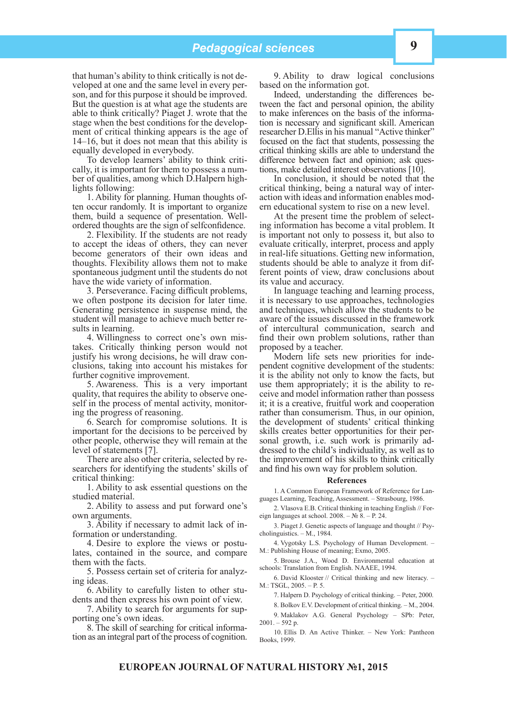that human's ability to think critically is not developed at one and the same level in every person, and for this purpose it should be improved. But the question is at what age the students are able to think critically? Piaget J. wrote that the stage when the best conditions for the development of critical thinking appears is the age of 14–16, but it does not mean that this ability is equally developed in everybody.

To develop learners' ability to think critically, it is important for them to possess a number of qualities, among which D.Halpern highlights following:

1. Ability for planning. Human thoughts often occur randomly. It is important to organize them, build a sequence of presentation. Wellordered thoughts are the sign of selfconfidence.

2. Flexibility. If the students are not ready to accept the ideas of others, they can never become generators of their own ideas and thoughts. Flexibility allows them not to make spontaneous judgment until the students do not have the wide variety of information.

3. Perseverance. Facing difficult problems, we often postpone its decision for later time. Generating persistence in suspense mind, the student will manage to achieve much better results in learning.

4. Willingness to correct one's own mistakes. Critically thinking person would not justify his wrong decisions, he will draw conclusions, taking into account his mistakes for further cognitive improvement.

5. Awareness. This is a very important quality, that requires the ability to observe oneself in the process of mental activity, monitoring the progress of reasoning.

6. Search for compromise solutions. It is important for the decisions to be perceived by other people, otherwise they will remain at the level of statements [7].

There are also other criteria, selected by researchers for identifying the students' skills of critical thinking:

1. Ability to ask essential questions on the studied material.

2. Ability to assess and put forward one's own arguments.

3. Ability if necessary to admit lack of information or understanding.

4. Desire to explore the views or postulates, contained in the source, and compare them with the facts.

5. Possess certain set of criteria for analyzing ideas.

6. Ability to carefully listen to other students and then express his own point of view.

7. Ability to search for arguments for supporting one's own ideas.

8. The skill of searching for critical information as an integral part of the process of cognition.

9. Ability to draw logical conclusions based on the information got.

Indeed, understanding the differences between the fact and personal opinion, the ability to make inferences on the basis of the information is necessary and significant skill. American researcher D.Ellis in his manual "Active thinker" focused on the fact that students, possessing the critical thinking skills are able to understand the difference between fact and opinion; ask questions, make detailed interest observations [10].

In conclusion, it should be noted that the critical thinking, being a natural way of interaction with ideas and information enables modern educational system to rise on a new level.

At the present time the problem of selecting information has become a vital problem. It is important not only to possess it, but also to evaluate critically, interpret, process and apply in real-life situations. Getting new information, students should be able to analyze it from different points of view, draw conclusions about its value and accuracy.

In language teaching and learning process, it is necessary to use approaches, technologies and techniques, which allow the students to be aware of the issues discussed in the framework of intercultural communication, search and find their own problem solutions, rather than proposed by a teacher.

Modern life sets new priorities for independent cognitive development of the students: it is the ability not only to know the facts, but use them appropriately; it is the ability to receive and model information rather than possess it; it is a creative, fruitful work and cooperation rather than consumerism. Thus, in our opinion, the development of students' critical thinking skills creates better opportunities for their personal growth, i.e. such work is primarily addressed to the child's individuality, as well as to the improvement of his skills to think critically and find his own way for problem solution.

#### **References**

1. A Common European Framework of Reference for Languages Learning, Teaching, Assessment. – Strasbourg, 1986.

2. Vlasova E.B. Critical thinking in teaching English // Foreign languages at school.  $2008. - N_2 8. - P. 24.$ 

3. Piaget J. Genetic aspects of language and thought // Psycholinguistics. – M., 1984.

4. Vygotsky L.S. Psychology of Human Development. – M.: Publishing House of meaning; Exmo, 2005.

5. Brouse J.A., Wood D. Environmental education at schools: Translation from English. NAAEE, 1994.

6. David Klooster // Critical thinking and new literacy. – M.: TSGL, 2005. – P. 5.

7. Halpern D. Psychology of critical thinking. – Peter, 2000.

8. Bolkov E.V. Development of critical thinking. – M., 2004.

9. Maklakov A.G. General Psychology – SPb: Peter,  $2001 - 592$  p.

10. Ellis D. An Active Thinker. – New York: Pantheon Books, 1999.

# **EUROPEAN JOURNAL OF NATURAL HISTORY №1, 2015**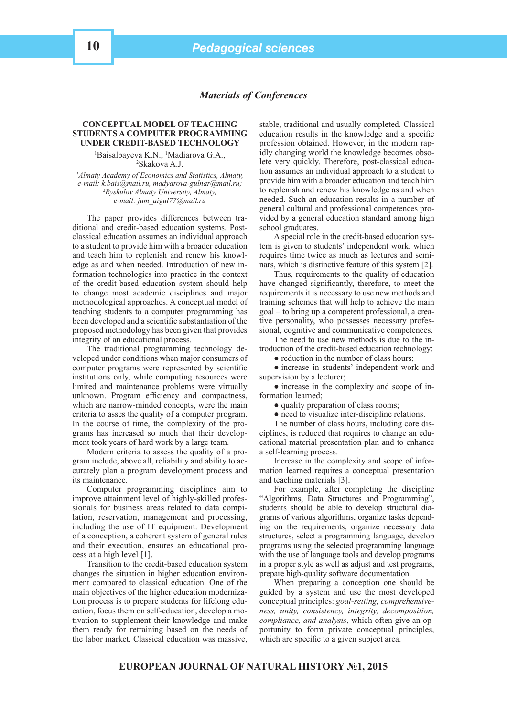# **CONCEPTUAL MODEL OF TEACHING STUDENTS A COMPUTER PROGRAMMING UNDER CREDIT-BASED TECHNOLOGY**

<sup>1</sup>Baisalbayeva K.N., <sup>1</sup>Madiarova G.A., <sup>2</sup>Skakova A.J <sup>2</sup>Skakova A.J.

*1 Almaty Academy of Economics and Statistics, Almaty, e-mail: k.bais@mail.ru, madyarova-gulnar@mail.ru; 2 Ryskulov Almaty University, Almaty, e-mail: jum\_aigul77@mail.ru*

The paper provides differences between traditional and credit-based education systems. Postclassical education assumes an individual approach to a student to provide him with a broader education and teach him to replenish and renew his knowledge as and when needed. Introduction of new information technologies into practice in the context of the credit-based education system should help to change most academic disciplines and major methodological approaches. A conceptual model of teaching students to a computer programming has been developed and a scientific substantiation of the proposed methodology has been given that provides integrity of an educational process.

The traditional programming technology developed under conditions when major consumers of computer programs were represented by scientific institutions only, while computing resources were limited and maintenance problems were virtually unknown. Program efficiency and compactness, which are narrow-minded concepts, were the main criteria to asses the quality of a computer program. In the course of time, the complexity of the programs has increased so much that their development took years of hard work by a large team.

Modern criteria to assess the quality of a program include, above all, reliability and ability to accurately plan a program development process and its maintenance.

Computer programming disciplines aim to improve attainment level of highly-skilled professionals for business areas related to data compilation, reservation, management and processing, including the use of IT equipment. Development of a conception, a coherent system of general rules and their execution, ensures an educational process at a high level [1].

Transition to the credit-based education system changes the situation in higher education environment compared to classical education. One of the main objectives of the higher education modernization process is to prepare students for lifelong education, focus them on self-education, develop a motivation to supplement their knowledge and make them ready for retraining based on the needs of the labor market. Classical education was massive,

stable, traditional and usually completed. Classical education results in the knowledge and a specific profession obtained. However, in the modern rapidly changing world the knowledge becomes obsolete very quickly. Therefore, post-classical education assumes an individual approach to a student to provide him with a broader education and teach him to replenish and renew his knowledge as and when needed. Such an education results in a number of general cultural and professional competences provided by a general education standard among high school graduates.

A special role in the credit-based education system is given to students' independent work, which requires time twice as much as lectures and seminars, which is distinctive feature of this system [2].

Thus, requirements to the quality of education have changed significantly, therefore, to meet the requirements it is necessary to use new methods and training schemes that will help to achieve the main goal – to bring up a competent professional, a creative personality, who possesses necessary professional, cognitive and communicative competences.

The need to use new methods is due to the introduction of the credit-based education technology:

• reduction in the number of class hours:

● increase in students' independent work and supervision by a lecturer;

• increase in the complexity and scope of information learned;

• quality preparation of class rooms;

• need to visualize inter-discipline relations.

The number of class hours, including core disciplines, is reduced that requires to change an educational material presentation plan and to enhance a self-learning process.

Increase in the complexity and scope of information learned requires a conceptual presentation and teaching materials [3].

For example, after completing the discipline "Algorithms, Data Structures and Programming", students should be able to develop structural diagrams of various algorithms, organize tasks depending on the requirements, organize necessary data structures, select a programming language, develop programs using the selected programming language with the use of language tools and develop programs in a proper style as well as adjust and test programs, prepare high-quality software documentation.

When preparing a conception one should be guided by a system and use the most developed conceptual principles: *goal-setting, comprehensiveness, unity, consistency, integrity, decomposition, compliance, and analysis*, which often give an opportunity to form private conceptual principles, which are specific to a given subject area.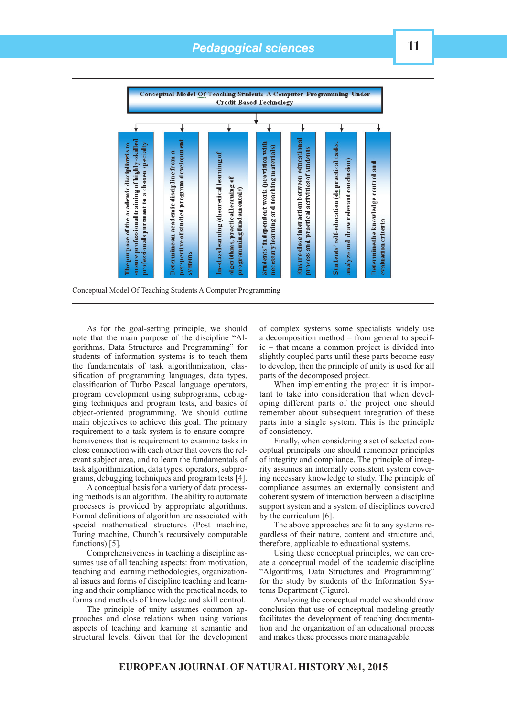

As for the goal-setting principle, we should note that the main purpose of the discipline "Algorithms, Data Structures and Programming" for students of information systems is to teach them the fundamentals of task algorithmization, classification of programming languages, data types, classification of Turbo Pascal language operators, program development using subprograms, debugging techniques and program tests, and basics of object-oriented programming. We should outline main objectives to achieve this goal. The primary requirement to a task system is to ensure comprehensiveness that is requirement to examine tasks in close connection with each other that covers the relevant subject area, and to learn the fundamentals of task algorithmization, data types, operators, subprograms, debugging techniques and program tests [4].

A conceptual basis for a variety of data processing methods is an algorithm. The ability to automate processes is provided by appropriate algorithms. Formal definitions of algorithm are associated with special mathematical structures (Post machine, Turing machine, Church's recursively computable functions) [5].

Comprehensiveness in teaching a discipline assumes use of all teaching aspects: from motivation, teaching and learning methodologies, organizational issues and forms of discipline teaching and learning and their compliance with the practical needs, to forms and methods of knowledge and skill control.

The principle of unity assumes common approaches and close relations when using various aspects of teaching and learning at semantic and structural levels. Given that for the development

of complex systems some specialists widely use a decomposition method – from general to specific – that means a common project is divided into slightly coupled parts until these parts become easy to develop, then the principle of unity is used for all parts of the decomposed project.

When implementing the project it is important to take into consideration that when developing different parts of the project one should remember about subsequent integration of these parts into a single system. This is the principle of consistency.

Finally, when considering a set of selected conceptual principals one should remember principles of integrity and compliance. The principle of integrity assumes an internally consistent system covering necessary knowledge to study. The principle of compliance assumes an externally consistent and coherent system of interaction between a discipline support system and a system of disciplines covered by the curriculum [6].

The above approaches are fit to any systems regardless of their nature, content and structure and, therefore, applicable to educational systems.

Using these conceptual principles, we can create a conceptual model of the academic discipline "Algorithms, Data Structures and Programming" for the study by students of the Information Systems Department (Figure).

Analyzing the conceptual model we should draw conclusion that use of conceptual modeling greatly facilitates the development of teaching documentation and the organization of an educational process and makes these processes more manageable.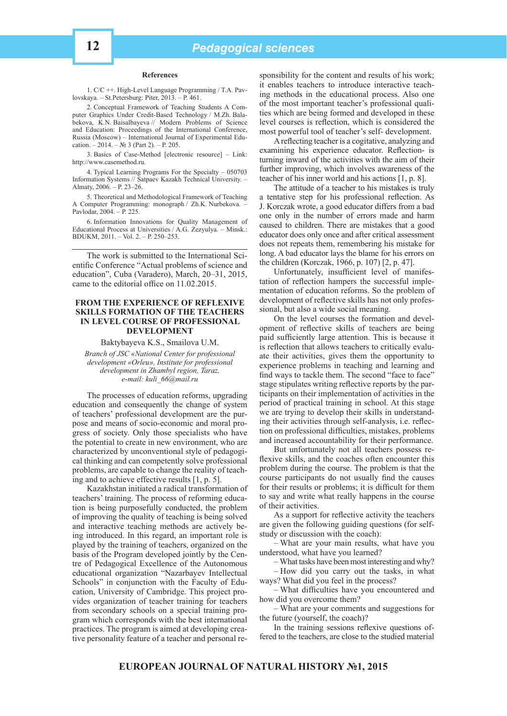#### **References**

1. C/C ++. High-Level Language Programming / T.A. Pavlovskaya. – St.Petersburg: Piter, 2013. – Р. 461.

2. Conceptual Framework of Teaching Students A Computer Graphics Under Credit-Based Technology / M.Zh. Balabekova, K.N. Baisalbayeva // Modern Problems of Science and Education: Proceedings of the International Conference, Russia (Moscow) – International Journal of Experimental Education. – 2014. – № 3 (Part 2). – P. 205.

3. Basics of Case-Method [electronic resource] – Link: http://www.casemethod.ru.

4. Typical Learning Programs For the Specialty – 050703 Information Systems // Satpaev Kazakh Technical University. – Almaty, 2006. – Р. 23–26.

5. Theoretical and Methodological Framework of Teaching A Computer Programming: monograph / Zh.K. Nurbekova. – Pavlodar, 2004. – Р. 225.

6. Information Innovations for Quality Management of Educational Process at Universities / A.G. Zezyulya. – Minsk.: BDUKM, 2011. – Vol. 2. – Р. 250–253.

The work is submitted to the International Scientific Conference "Actual problems of science and education", Cuba (Varadero), March, 20–31, 2015, came to the editorial office on 11.02.2015.

### **FROM THE EXPERIENCE OF REFLEXIVE SKILLS FORMATION OF THE TEACHERS IN LEVEL COURSE OF PROFESSIONAL DEVELOPMENT**

Baktybayeva K.S., Smailova U.M.

*Branch of JSC «National Center for professional development «Orleu», Institute for professional development in Zhambyl region, Taraz, e-mail: kuli\_66@mail.ru*

The processes of education reforms, upgrading education and consequently the change of system of teachers' professional development are the purpose and means of socio-economic and moral progress of society. Only those specialists who have the potential to create in new environment, who are characterized by unconventional style of pedagogical thinking and can competently solve professional problems, are capable to change the reality of teaching and to achieve effective results [1, p. 5].

Kazakhstan initiated a radical transformation of teachers' training. The process of reforming education is being purposefully conducted, the problem of improving the quality of teaching is being solved and interactive teaching methods are actively being introduced. In this regard, an important role is played by the training of teachers, organized on the basis of the Program developed jointly by the Centre of Pedagogical Excellence of the Autonomous educational organization "Nazarbayev Intellectual Schools" in conjunction with the Faculty of Education, University of Cambridge. This project provides organization of teacher training for teachers from secondary schools on a special training program which corresponds with the best international practices. The program is aimed at developing creative personality feature of a teacher and personal re-

sponsibility for the content and results of his work; it enables teachers to introduce interactive teaching methods in the educational process. Also one of the most important teacher's professional qualities which are being formed and developed in these level courses is reflection, which is considered the most powerful tool of teacher's self- development.

A reflecting teacher is a cogitative, analyzing and examining his experience educator. Reflection- is turning inward of the activities with the aim of their further improving, which involves awareness of the teacher of his inner world and his actions [1, p. 8].

The attitude of a teacher to his mistakes is truly a tentative step for his professional reflection. As J. Korczak wrote, a good educator differs from a bad one only in the number of errors made and harm caused to children. There are mistakes that a good educator does only once and after critical assessment does not repeats them, remembering his mistake for long. A bad educator lays the blame for his errors on the children (Korczak, 1966, p. 107) [2, p. 47].

Unfortunately, insufficient level of manifestation of reflection hampers the successful implementation of education reforms. So the problem of development of reflective skills has not only professional, but also a wide social meaning.

On the level courses the formation and development of reflective skills of teachers are being paid sufficiently large attention. This is because it is reflection that allows teachers to critically evaluate their activities, gives them the opportunity to experience problems in teaching and learning and find ways to tackle them. The second "face to face" stage stipulates writing reflective reports by the participants on their implementation of activities in the period of practical training in school. At this stage we are trying to develop their skills in understanding their activities through self-analysis, i.e. reflection on professional difficulties, mistakes, problems and increased accountability for their performance.

But unfortunately not all teachers possess reflexive skills, and the coaches often encounter this problem during the course. The problem is that the course participants do not usually find the causes for their results or problems; it is difficult for them to say and write what really happens in the course of their activities.

As a support for reflective activity the teachers are given the following guiding questions (for selfstudy or discussion with the coach):

– What are your main results, what have you understood, what have you learned?

– What tasks have been most interesting and why? – How did you carry out the tasks, in what

ways? What did you feel in the process? – What difficulties have you encountered and

how did you overcome them? – What are your comments and suggestions for the future (yourself, the coach)?

In the training sessions reflexive questions offered to the teachers, are close to the studied material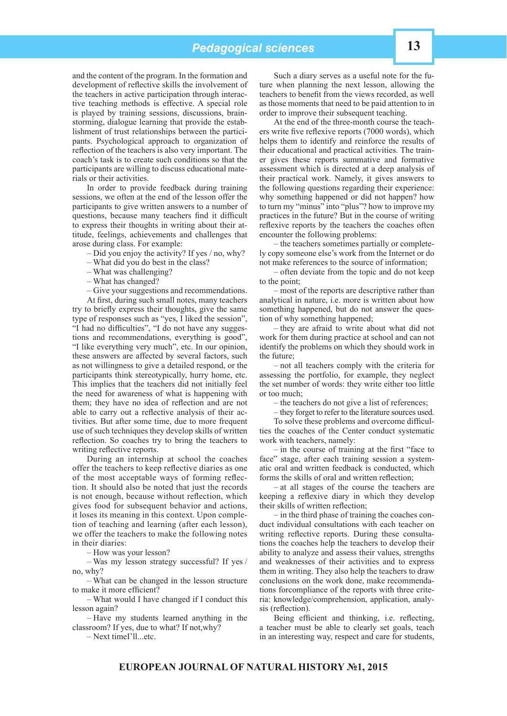# *Pedagogical sciences* **13**

and the content of the program. In the formation and development of reflective skills the involvement of the teachers in active participation through interactive teaching methods is effective. A special role is played by training sessions, discussions, brainstorming, dialogue learning that provide the establishment of trust relationships between the participants. Psychological approach to organization of reflection of the teachers is also very important. The coach's task is to create such conditions so that the participants are willing to discuss educational materials or their activities.

In order to provide feedback during training sessions, we often at the end of the lesson offer the participants to give written answers to a number of questions, because many teachers find it difficult to express their thoughts in writing about their attitude, feelings, achievements and challenges that arose during class. For example:

- Did you enjoy the activity? If yes / no, why?
- What did you do best in the class?
- What was challenging?
- What has changed?
- Give your suggestions and recommendations.

At first, during such small notes, many teachers try to briefly express their thoughts, give the same type of responses such as "yes, I liked the session", "I had no difficulties", "I do not have any suggestions and recommendations, everything is good", "I like everything very much", etc. In our opinion, these answers are affected by several factors, such as not willingness to give a detailed respond, or the participants think stereotypically, hurry home, etc. This implies that the teachers did not initially feel the need for awareness of what is happening with them; they have no idea of reflection and are not able to carry out a reflective analysis of their activities. But after some time, due to more frequent use of such techniques they develop skills of written reflection. So coaches try to bring the teachers to writing reflective reports.

During an internship at school the coaches offer the teachers to keep reflective diaries as one of the most acceptable ways of forming reflection. It should also be noted that just the records is not enough, because without reflection, which gives food for subsequent behavior and actions, it loses its meaning in this context. Upon completion of teaching and learning (after each lesson), we offer the teachers to make the following notes in their diaries:

– How was your lesson?

– Was my lesson strategy successful? If yes / no, why?

– What can be changed in the lesson structure to make it more efficient?

– What would I have changed if I conduct this lesson again?

– Have my students learned anything in the classroom? If yes, due to what? If not,why?

– Next timeI'll...etc.

Such a diary serves as a useful note for the future when planning the next lesson, allowing the teachers to benefit from the views recorded, as well as those moments that need to be paid attention to in order to improve their subsequent teaching.

At the end of the three-month course the teachers write five reflexive reports (7000 words), which helps them to identify and reinforce the results of their educational and practical activities. The trainer gives these reports summative and formative assessment which is directed at a deep analysis of their practical work. Namely, it gives answers to the following questions regarding their experience: why something happened or did not happen? how to turn my "minus" into "plus"? how to improve my practices in the future? But in the course of writing reflexive reports by the teachers the coaches often encounter the following problems:

– the teachers sometimes partially or completely copy someone else's work from the Internet or do not make references to the source of information;

– often deviate from the topic and do not keep to the point;

– most of the reports are descriptive rather than analytical in nature, i.e. more is written about how something happened, but do not answer the question of why something happened;

– they are afraid to write about what did not work for them during practice at school and can not identify the problems on which they should work in the future;

– not all teachers comply with the criteria for assessing the portfolio, for example, they neglect the set number of words: they write either too little or too much;

– the teachers do not give a list of references;

– they forget to refer to the literature sources used.

To solve these problems and overcome difficulties the coaches of the Center conduct systematic work with teachers, namely:

 $-$  in the course of training at the first "face to face" stage, after each training session a systematic oral and written feedback is conducted, which forms the skills of oral and written reflection:

– at all stages of the course the teachers are keeping a reflexive diary in which they develop their skills of written reflection;

– in the third phase of training the coaches conduct individual consultations with each teacher on writing reflective reports. During these consultations the coaches help the teachers to develop their ability to analyze and assess their values, strengths and weaknesses of their activities and to express them in writing. They also help the teachers to draw conclusions on the work done, make recommendations forcompliance of the reports with three criteria: knowledge/comprehension, application, analysis (reflection).

Being efficient and thinking, i.e. reflecting, a teacher must be able to clearly set goals, teach in an interesting way, respect and care for students,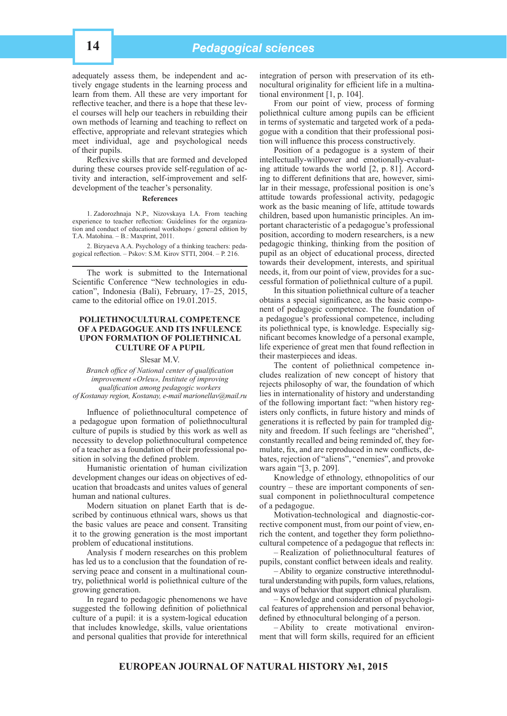adequately assess them, be independent and actively engage students in the learning process and learn from them. All these are very important for reflective teacher, and there is a hope that these level courses will help our teachers in rebuilding their own methods of learning and teaching to reflect on effective, appropriate and relevant strategies which meet individual, age and psychological needs of their pupils.

Reflexive skills that are formed and developed during these courses provide self-regulation of activity and interaction, self-improvement and selfdevelopment of the teacher's personality.

### **References**

1. Zadorozhnaja N.P., Nizovskaya I.A. From teaching experience to teacher reflection: Guidelines for the organization and conduct of educational workshops / general edition by T.A. Matohina. – B.: Maxprint, 2011.

2. Bizyaeva A.A. Psychology of a thinking teachers: pedagogical reflection. – Pskov: S.M. Kirov STTI,  $2004$ . – P. 216.

The work is submitted to the International Scientific Conference "New technologies in education", Indonesia (Bali), February, 17–25, 2015, came to the editorial office on 19.01.2015.

# **POLIETHNOCULTURAL COMPETENCE OF A PEDAGOGUE AND ITS INFULENCE UPON FORMATION OF POLIETHNICAL CULTURE OF A PUPIL**

#### Slesar M.V.

*Branch office of National center of qualification improvement «Orleu», Institute of improving qualifi cation among pedagogic workers of Kostanay region, Kostanay, e-mail marionellav@mail.ru*

Influence of poliethnocultural competence of a pedagogue upon formation of poliethnocultural culture of pupils is studied by this work as well as necessity to develop poliethnocultural competence of a teacher as a foundation of their professional position in solving the defined problem.

Humanistic orientation of human civilization development changes our ideas on objectives of education that broadcasts and unites values of general human and national cultures.

Modern situation on planet Earth that is described by continuous ethnical wars, shows us that the basic values are peace and consent. Transiting it to the growing generation is the most important problem of educational institutions.

Analysis f modern researches on this problem has led us to a conclusion that the foundation of reserving peace and consent in a multinational country, poliethnical world is poliethnical culture of the growing generation.

In regard to pedagogic phenomenons we have suggested the following definition of poliethnical culture of a pupil: it is a system-logical education that includes knowledge, skills, value orientations and personal qualities that provide for interethnical

integration of person with preservation of its ethnocultural originality for efficient life in a multinational environment [1, p. 104].

From our point of view, process of forming poliethnical culture among pupils can be efficient in terms of systematic and targeted work of a pedagogue with a condition that their professional position will influence this process constructively.

Position of a pedagogue is a system of their intellectually-willpower and emotionally-evaluating attitude towards the world [2, p. 81]. According to different definitions that are, however, similar in their message, professional position is one's attitude towards professional activity, pedagogic work as the basic meaning of life, attitude towards children, based upon humanistic principles. An important characteristic of a pedagogue's professional position, according to modern researchers, is a new pedagogic thinking, thinking from the position of pupil as an object of educational process, directed towards their development, interests, and spiritual needs, it, from our point of view, provides for a successful formation of poliethnical culture of a pupil.

In this situation poliethnical culture of a teacher obtains a special significance, as the basic component of pedagogic competence. The foundation of a pedagogue's professional competence, including its poliethnical type, is knowledge. Especially significant becomes knowledge of a personal example, life experience of great men that found reflection in their masterpieces and ideas.

The content of poliethnical competence includes realization of new concept of history that rejects philosophy of war, the foundation of which lies in internationality of history and understanding of the following important fact: "when history registers only conflicts, in future history and minds of generations it is reflected by pain for trampled dignity and freedom. If such feelings are "cherished", constantly recalled and being reminded of, they formulate, fix, and are reproduced in new conflicts, debates, rejection of "aliens", "enemies", and provoke wars again "[3, p. 209].

Knowledge of ethnology, ethnopolitics of our country – these are important components of sensual component in poliethnocultural competence of a pedagogue.

Motivation-technological and diagnostic-corrective component must, from our point of view, enrich the content, and together they form poliethnocultural competence of a pedagogue that reflects in:

– Realization of poliethnocultural features of pupils, constant conflict between ideals and reality.

– Ability to organize constructive interethnodultural understanding with pupils, form values, relations, and ways of behavior that support ethnical pluralism.

– Knowledge and consideration of psychological features of apprehension and personal behavior, defined by ethnocultural belonging of a person.

– Ability to create motivational environment that will form skills, required for an efficient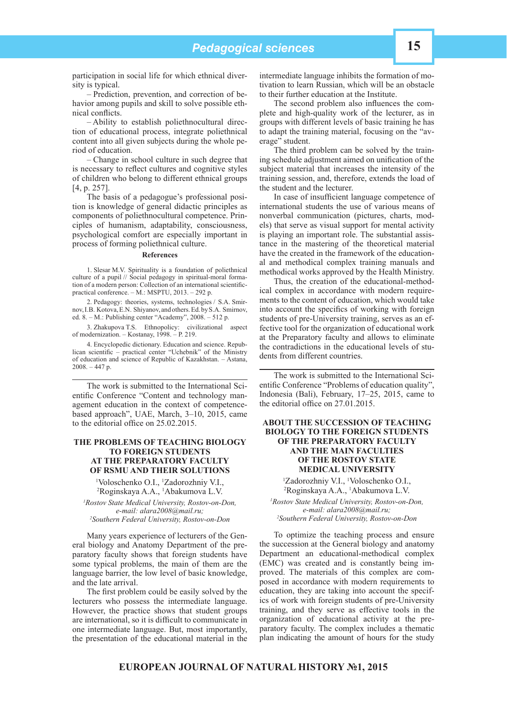participation in social life for which ethnical diversity is typical.

– Prediction, prevention, and correction of behavior among pupils and skill to solve possible ethnical conflicts.

– Ability to establish poliethnocultural direction of educational process, integrate poliethnical content into all given subjects during the whole period of education.

– Change in school culture in such degree that is necessary to reflect cultures and cognitive styles of children who belong to different ethnical groups [4, p. 257].

The basis of a pedagogue's professional position is knowledge of general didactic principles as components of poliethnocultural competence. Principles of humanism, adaptability, consciousness, psychological comfort are especially important in process of forming poliethnical culture.

### **References**

1. Slesar M.V. Spirituality is a foundation of poliethnical culture of a pupil // Social pedagogy in spiritual-moral formation of a modern person: Collection of an international scientificpractical conference. – M.: MSPTU, 2013. – 292 p.

2. Pedagogy: theories, systems, technologies / S.A. Smirnov, I.B. Kotova, E.N. Shiyanov, and others. Ed. by S.A. Smirnov, ed. 8. – M.: Publishing center "Academy", 2008. – 512 p.

3. Zhakupova T.S. Ethnopolicy: civilizational aspect of modernization. – Kostanay, 1998. – Р. 219.

4. Encyclopedic dictionary. Education and science. Republican scientific – practical center "Uchebnik" of the Ministry of education and science of Republic of Kazakhstan. – Astana,  $2008. - 447$  p.

The work is submitted to the International Scientific Conference "Content and technology management education in the context of competencebased approach", UAE, March, 3–10, 2015, came to the editorial office on  $25.02.2015$ .

# **THE PROBLEMS OF TEACHING BIOLOGY TO FOREIGN STUDENTS AT THE PREPARATORY FACULTY OF RSMU AND THEIR SOLUTIONS**

<sup>1</sup>Voloschenko O.I., <sup>1</sup>Zadorozhniy V.I., <sup>2</sup>Roginskaya A.A., <sup>1</sup>Abakumova L.V.

*1 Rostov State Medical University, Rostov-on-Don, e-mail: alara2008@mail.ru; 2 Southern Federal University, Rostov-on-Don*

Many years experience of lecturers of the General biology and Anatomy Department of the preparatory faculty shows that foreign students have some typical problems, the main of them are the language barrier, the low level of basic knowledge, and the late arrival.

The first problem could be easily solved by the lecturers who possess the intermediate language. However, the practice shows that student groups are international, so it is difficult to communicate in one intermediate language. But, most importantly, the presentation of the educational material in the

intermediate language inhibits the formation of motivation to learn Russian, which will be an obstacle to their further education at the Institute.

The second problem also influences the complete and high-quality work of the lecturer, as in groups with different levels of basic training he has to adapt the training material, focusing on the "average" student.

The third problem can be solved by the training schedule adjustment aimed on unification of the subject material that increases the intensity of the training session, and, therefore, extends the load of the student and the lecturer.

In case of insufficient language competence of international students the use of various means of nonverbal communication (pictures, charts, models) that serve as visual support for mental activity is playing an important role. The substantial assistance in the mastering of the theoretical material have the created in the framework of the educational and methodical complex training manuals and methodical works approved by the Health Ministry.

Thus, the creation of the educational-methodical complex in accordance with modern requirements to the content of education, which would take into account the specifics of working with foreign students of pre-University training, serves as an effective tool for the organization of educational work at the Preparatory faculty and allows to eliminate the contradictions in the educational levels of students from different countries.

The work is submitted to the International Scientific Conference "Problems of education quality", Indonesia (Bali), February, 17–25, 2015, came to the editorial office on 27.01.2015.

## **ABOUT THE SUCCESSION OF TEACHING BIOLOGY TO THE FOREIGN STUDENTS OF THE PREPARATORY FACULTY AND THE MAIN FACULTIES OF THE ROSTOV STATE MEDICAL UNIVERSITY**

<sup>1</sup>Zadorozhniy V.I., <sup>1</sup>Voloschenko O.I., <sup>2</sup>Roginskava A.A., <sup>1</sup>Abakumova J. V. Roginskaya A.A., 1 Abakumova L.V.

*1 Rostov State Medical University, Rostov-on-Don, e-mail: alara2008@mail.ru; 2 Southern Federal University, Rostov-on-Don*

To optimize the teaching process and ensure the succession at the General biology and anatomy Department an educational-methodical complex (EMC) was created and is constantly being improved. The materials of this complex are composed in accordance with modern requirements to education, they are taking into account the specifics of work with foreign students of pre-University training, and they serve as effective tools in the organization of educational activity at the preparatory faculty. The complex includes a thematic plan indicating the amount of hours for the study

# **EUROPEAN JOURNAL OF NATURAL HISTORY №1, 2015**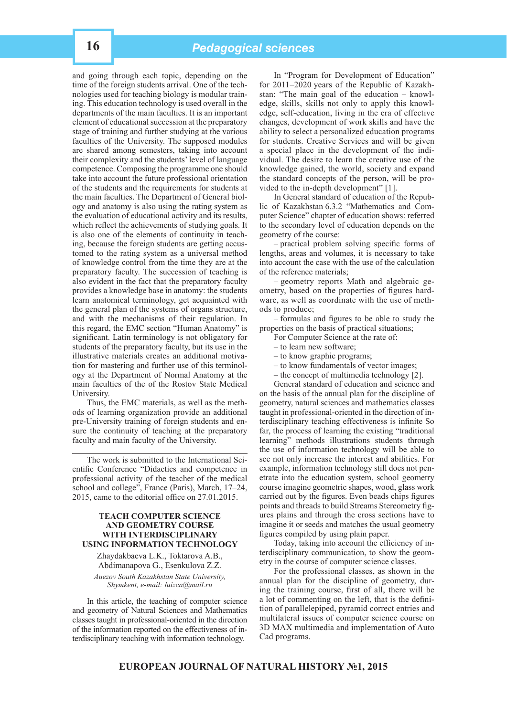and going through each topic, depending on the time of the foreign students arrival. One of the technologies used for teaching biology is modular training. This education technology is used overall in the departments of the main faculties. It is an important element of educational succession at the preparatory stage of training and further studying at the various faculties of the University. The supposed modules are shared among semesters, taking into account their complexity and the students' level of language competence. Composing the programme one should take into account the future professional orientation of the students and the requirements for students at the main faculties. The Department of General biology and anatomy is also using the rating system as the evaluation of educational activity and its results, which reflect the achievements of studying goals. It is also one of the elements of continuity in teaching, because the foreign students are getting accustomed to the rating system as a universal method of knowledge control from the time they are at the preparatory faculty. The succession of teaching is also evident in the fact that the preparatory faculty provides a knowledge base in anatomy: the students learn anatomical terminology, get acquainted with the general plan of the systems of organs structure, and with the mechanisms of their regulation. In this regard, the EMC section "Human Anatomy" is significant. Latin terminology is not obligatory for students of the preparatory faculty, but its use in the illustrative materials creates an additional motivation for mastering and further use of this terminology at the Department of Normal Anatomy at the main faculties of the of the Rostov State Medical **University** 

Thus, the EMC materials, as well as the methods of learning organization provide an additional pre-University training of foreign students and ensure the continuity of teaching at the preparatory faculty and main faculty of the University.

The work is submitted to the International Scientific Conference "Didactics and competence in professional activity of the teacher of the medical school and college", France (Paris), March, 17–24,  $2015$ , came to the editorial office on  $27.01.2015$ .

# **TEACH COMPUTER SCIENCE AND GEOMETRY COURSE WITH INTERDISCIPLINARY USING INFORMATION TECHNOLOGY**

Zhaydakbaeva L.K., Toktarova A.B., Abdimanapova G., Esenkulova Z.Z. *Auezov South Kazakhstan State University, Shymkent, e-mail: luizca@mail.ru* 

In this article, the teaching of computer science and geometry of Natural Sciences and Mathematics classes taught in professional-oriented in the direction of the information reported on the effectiveness of interdisciplinary teaching with information technology.

In "Program for Development of Education" for 2011–2020 years of the Republic of Kazakhstan: "The main goal of the education – knowledge, skills, skills not only to apply this knowledge, self-education, living in the era of effective changes, development of work skills and have the ability to select a personalized education programs for students. Creative Services and will be given a special place in the development of the individual. The desire to learn the creative use of the knowledge gained, the world, society and expand the standard concepts of the person, will be provided to the in-depth development" [1].

In General standard of education of the Republic of Kazakhstan 6.3.2 "Mathematics and Computer Science" chapter of education shows: referred to the secondary level of education depends on the geometry of the course:

– practical problem solving specific forms of lengths, areas and volumes, it is necessary to take into account the case with the use of the calculation of the reference materials;

– geometry reports Math and algebraic geometry, based on the properties of figures hardware, as well as coordinate with the use of methods to produce;

– formulas and figures to be able to study the properties on the basis of practical situations;

- For Computer Science at the rate of:
- to learn new software;
- to know graphic programs;
- to know fundamentals of vector images;
- the concept of multimedia technology [2].

General standard of education and science and on the basis of the annual plan for the discipline of geometry, natural sciences and mathematics classes taught in professional-oriented in the direction of interdisciplinary teaching effectiveness is infinite So far, the process of learning the existing "traditional learning" methods illustrations students through the use of information technology will be able to see not only increase the interest and abilities. For example, information technology still does not penetrate into the education system, school geometry course imagine geometric shapes, wood, glass work carried out by the figures. Even beads chips figures points and threads to build Streams Stereometry figures plains and through the cross sections have to imagine it оr seeds and matches the usual geometry figures compiled by using plain paper.

Today, taking into account the efficiency of interdisciplinary communication, to show the geometry in the course of computer science classes.

For the professional classes, as shown in the annual plan for the discipline of geometry, during the training course, first of all, there will be a lot of commenting on the left, that is the definition of parallelepiped, pyramid correct entries and multilateral issues of computer science course on 3D MAX multimedia and implementation of Auto Cad programs.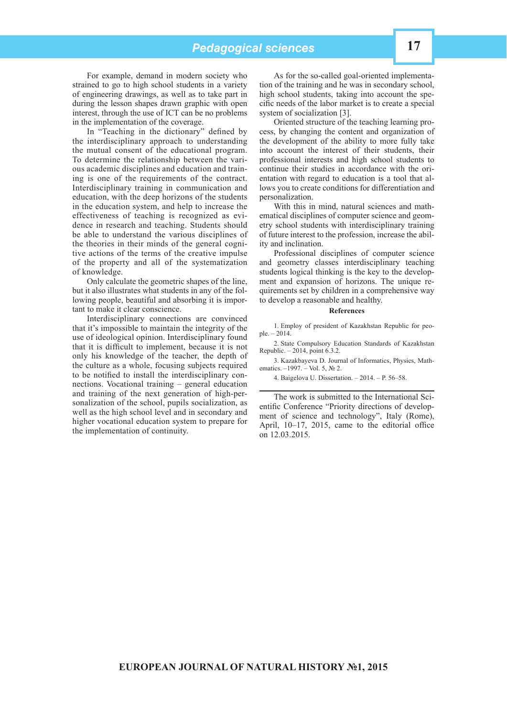*Pedagogical sciences* **17**

For example, demand in modern society who strained to go to high school students in a variety of engineering drawings, as well as to take part in during the lesson shapes drawn graphic with open interest, through the use of ICT can be no problems in the implementation of the coverage.

In "Teaching in the dictionary" defined by the interdisciplinary approach to understanding the mutual consent of the educational program. To determine the relationship between the various academic disciplines and education and training is one of the requirements of the contract. Interdisciplinary training in communication and education, with the deep horizons of the students in the education system, and help to increase the effectiveness of teaching is recognized as evidence in research and teaching. Students should be able to understand the various disciplines of the theories in their minds of the general cognitive actions of the terms of the creative impulse of the property and all of the systematization of knowledge.

Only calculate the geometric shapes of the line, but it also illustrates what students in any of the following people, beautiful and absorbing it is important to make it clear conscience.

Interdisciplinary connections are convinced that it's impossible to maintain the integrity of the use of ideological opinion. Interdisciplinary found that it is difficult to implement, because it is not only his knowledge of the teacher, the depth of the culture as a whole, focusing subjects required to be notified to install the interdisciplinary connections. Vocational training – general education and training of the next generation of high-personalization of the school, pupils socialization, as well as the high school level and in secondary and higher vocational education system to prepare for the implementation of continuity.

As for the so-called goal-oriented implementation of the training and he was in secondary school, high school students, taking into account the specific needs of the labor market is to create a special system of socialization [3].

Oriented structure of the teaching learning process, by changing the content and organization of the development of the ability to more fully take into account the interest of their students, their professional interests and high school students to continue their studies in accordance with the orientation with regard to education is a tool that allows you to create conditions for differentiation and personalization.

With this in mind, natural sciences and mathematical disciplines of computer science and geometry school students with interdisciplinary training of future interest to the profession, increase the ability and inclination.

Professional disciplines of computer science and geometry classes interdisciplinary teaching students logical thinking is the key to the development and expansion of horizons. The unique requirements set by children in a comprehensive way to develop a reasonable and healthy.

### **References**

1. Employ of president of Kazakhstan Republic for people. – 2014.

2. State Compulsory Education Standards of Kazakhstan Republic.  $-2014$ , point  $6.3.2$ .

3. Kazakbayeva D. Journal of Informatics, Physics, Mathematics. –1997. – Vol. 5, № 2.

4. Baigelova U. Dissertation. – 2014. – P. 56–58.

The work is submitted to the International Scientific Conference "Priority directions of development of science and technology", Italy (Rome), April,  $10-17$ ,  $2015$ , came to the editorial office оn 12.03.2015.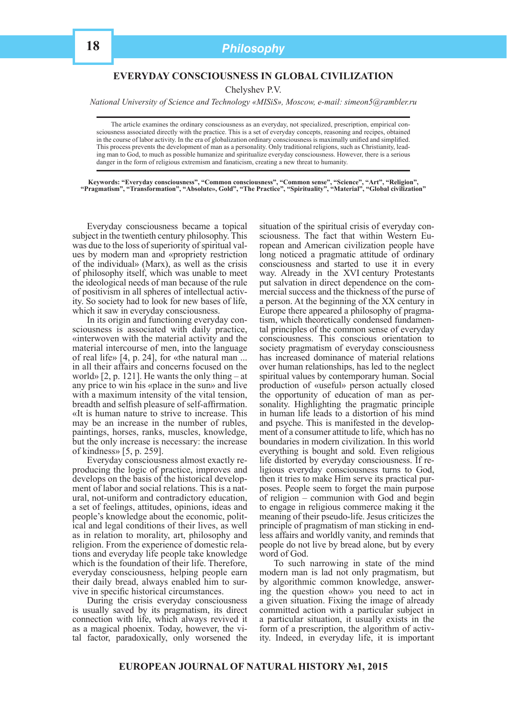# **EVERYDAY CONSCIOUSNESS IN GLOBAL CIVILIZATION**

Chelyshev P.V.

*National University of Science and Technology «MISiS», Moscow, e-mail: simeon5@rambler.ru* 

The article examines the ordinary consciousness as an everyday, not specialized, prescription, empirical consciousness associated directly with the practice. This is a set of everyday concepts, reasoning and recipes, obtained in the course of labor activity. In the era of globalization ordinary consciousness is maximally unified and simplified. This process prevents the development of man as a personality. Only traditional religions, such as Christianity, leading man to God, to much as possible humanize and spiritualize everyday consciousness. However, there is a serious danger in the form of religious extremism and fanaticism, creating a new threat to humanity.

Keywords: "Everyday consciousness", "Common consciousness", "Common sense", "Science", "Art", "Religion",<br>"Pragmatism", "Transformation", "Absolute», Gold", "The Practice", "Spirituality", "Material", "Global civilization"

Everyday consciousness became a topical subject in the twentieth century philosophy. This was due to the loss of superiority of spiritual values by modern man and «propriety restriction of the individual» (Marx), as well as the crisis of philosophy itself, which was unable to meet the ideological needs of man because of the rule of positivism in all spheres of intellectual activity. So society had to look for new bases of life, which it saw in everyday consciousness.

In its origin and functioning everyday consciousness is associated with daily practice, «interwoven with the material activity and the material intercourse of men, into the language of real life» [4, p. 24], for «the natural man ... in all their affairs and concerns focused on the world» [2, p. 121]. He wants the only thing – at any price to win his «place in the sun» and live with a maximum intensity of the vital tension, breadth and selfish pleasure of self-affirmation. «It is human nature to strive to increase. This may be an increase in the number of rubles, paintings, horses, ranks, muscles, knowledge, but the only increase is necessary: the increase of kindness» [5, p. 259].

Everyday consciousness almost exactly reproducing the logic of practice, improves and develops on the basis of the historical development of labor and social relations. This is a natural, not-uniform and contradictory education, a set of feelings, attitudes, opinions, ideas and people's knowledge about the economic, political and legal conditions of their lives, as well as in relation to morality, art, philosophy and religion. From the experience of domestic relations and everyday life people take knowledge which is the foundation of their life. Therefore, everyday consciousness, helping people earn their daily bread, always enabled him to survive in specific historical circumstances.

During the crisis everyday consciousness is usually saved by its pragmatism, its direct connection with life, which always revived it as a magical phoenix. Today, however, the vital factor, paradoxically, only worsened the situation of the spiritual crisis of everyday consciousness. The fact that within Western European and American civilization people have long noticed a pragmatic attitude of ordinary consciousness and started to use it in every way. Already in the XVI century Protestants put salvation in direct dependence on the commercial success and the thickness of the purse of a person. At the beginning of the XX century in Europe there appeared a philosophy of pragmatism, which theoretically condensed fundamental principles of the common sense of everyday consciousness. This conscious orientation to society pragmatism of everyday consciousness has increased dominance of material relations over human relationships, has led to the neglect spiritual values by contemporary human. Social production of «useful» person actually closed the opportunity of education of man as personality. Highlighting the pragmatic principle in human life leads to a distortion of his mind and psyche. This is manifested in the development of a consumer attitude to life, which has no boundaries in modern civilization. In this world everything is bought and sold. Even religious life distorted by everyday consciousness. If religious everyday consciousness turns to God, then it tries to make Him serve its practical purposes. People seem to forget the main purpose of religion – communion with God and begin to engage in religious commerce making it the meaning of their pseudo-life. Jesus criticizes the principle of pragmatism of man sticking in endless affairs and worldly vanity, and reminds that people do not live by bread alone, but by every word of God.

To such narrowing in state of the mind modern man is lad not only pragmatism, but by algorithmic common knowledge, answering the question «how» you need to act in a given situation. Fixing the image of already committed action with a particular subject in a particular situation, it usually exists in the form of a prescription, the algorithm of activity. Indeed, in everyday life, it is important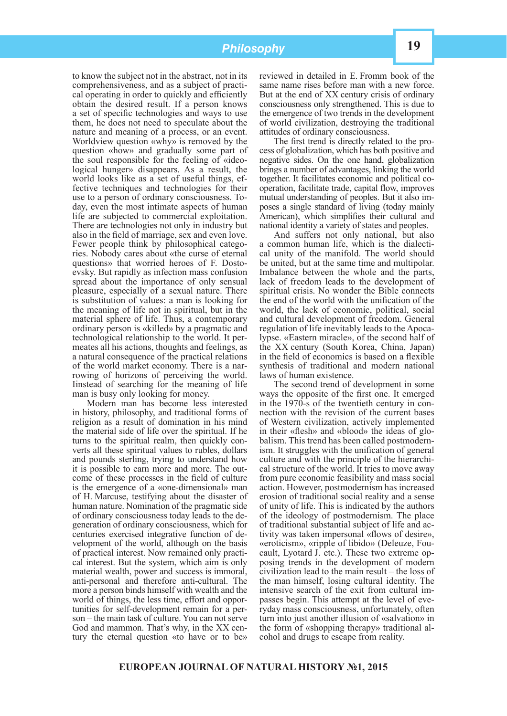to know the subject not in the abstract, not in its comprehensiveness, and as a subject of practical operating in order to quickly and efficiently obtain the desired result. If a person knows a set of specific technologies and ways to use them, he does not need to speculate about the nature and meaning of a process, or an event. Worldview question «why» is removed by the question «how» and gradually some part of the soul responsible for the feeling of «ideological hunger» disappears. As a result, the world looks like as a set of useful things, effective techniques and technologies for their use to a person of ordinary consciousness. Today, even the most intimate aspects of human life are subjected to commercial exploitation. There are technologies not only in industry but also in the field of marriage, sex and even love. Fewer people think by philosophical categories. Nobody cares about «the curse of eternal questions» that worried heroes of F. Dostoevsky. But rapidly as infection mass confusion spread about the importance of only sensual pleasure, especially of a sexual nature. There is substitution of values: a man is looking for the meaning of life not in spiritual, but in the material sphere of life. Thus, a contemporary ordinary person is «killed» by a pragmatic and technological relationship to the world. It permeates all his actions, thoughts and feelings, as a natural consequence of the practical relations of the world market economy. There is a narrowing of horizons of perceiving the world. Iinstead of searching for the meaning of life man is busy only looking for money.

Modern man has become less interested in history, philosophy, and traditional forms of religion as a result of domination in his mind the material side of life over the spiritual. If he turns to the spiritual realm, then quickly converts all these spiritual values to rubles, dollars and pounds sterling, trying to understand how it is possible to earn more and more. The outcome of these processes in the field of culture is the emergence of a «one-dimensional» man of H. Marcuse, testifying about the disaster of human nature. Nomination of the pragmatic side of ordinary consciousness today leads to the degeneration of ordinary consciousness, which for centuries exercised integrative function of development of the world, although on the basis of practical interest. Now remained only practical interest. But the system, which aim is only material wealth, power and success is immoral, anti-personal and therefore anti-cultural. The more a person binds himself with wealth and the world of things, the less time, effort and opportunities for self-development remain for a person – the main task of culture. You can not serve God and mammon. That's why, in the XX century the eternal question «to have or to be»

reviewed in detailed in E. Fromm book of the same name rises before man with a new force. But at the end of XX century crisis of ordinary consciousness only strengthened. This is due to the emergence of two trends in the development of world civilization, destroying the traditional attitudes of ordinary consciousness.

The first trend is directly related to the process of globalization, which has both positive and negative sides. On the one hand, globalization brings a number of advantages, linking the world together. It facilitates economic and political cooperation, facilitate trade, capital flow, improves mutual understanding of peoples. But it also imposes a single standard of living (today mainly American), which simplifies their cultural and national identity a variety of states and peoples.

And suffers not only national, but also a common human life, which is the dialectical unity of the manifold. The world should be united, but at the same time and multipolar. Imbalance between the whole and the parts, lack of freedom leads to the development of spiritual crisis. No wonder the Bible connects the end of the world with the unification of the world, the lack of economic, political, social and cultural development of freedom. General regulation of life inevitably leads to the Apocalypse. «Eastern miracle», of the second half of the XX century (South Korea, China, Japan) in the field of economics is based on a flexible synthesis of traditional and modern national laws of human existence.

The second trend of development in some ways the opposite of the first one. It emerged in the 1970-s of the twentieth century in connection with the revision of the current bases of Western civilization, actively implemented in their «flesh» and «blood» the ideas of globalism. This trend has been called postmodernism. It struggles with the unification of general culture and with the principle of the hierarchical structure of the world. It tries to move away from pure economic feasibility and mass social action. However, postmodernism has increased erosion of traditional social reality and a sense of unity of life. This is indicated by the authors of the ideology of postmodernism. The place of traditional substantial subject of life and activity was taken impersonal «flows of desire», «eroticism», «ripple of libido» (Deleuze, Foucault, Lyotard J. etc.). These two extreme opposing trends in the development of modern civilization lead to the main result – the loss of the man himself, losing cultural identity. The intensive search of the exit from cultural impasses begin. This attempt at the level of everyday mass consciousness, unfortunately, often turn into just another illusion of «salvation» in the form of «shopping therapy» traditional alcohol and drugs to escape from reality.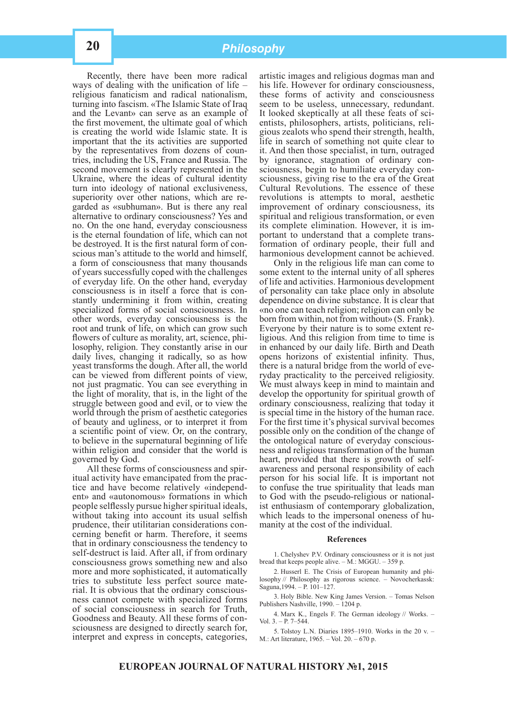Recently, there have been more radical ways of dealing with the unification of life  $$ religious fanaticism and radical nationalism, turning into fascism. «The Islamic State of Iraq and the Levant» can serve as an example of the first movement, the ultimate goal of which is creating the world wide Islamic state. It is important that the its activities are supported by the representatives from dozens of countries, including the US, France and Russia. The second movement is clearly represented in the Ukraine, where the ideas of cultural identity turn into ideology of national exclusiveness, superiority over other nations, which are regarded as «subhuman». But is there any real alternative to ordinary consciousness? Yes and no. On the one hand, everyday consciousness is the eternal foundation of life, which can not be destroyed. It is the first natural form of conscious man's attitude to the world and himself, a form of consciousness that many thousands of years successfully coped with the challenges of everyday life. On the other hand, everyday consciousness is in itself a force that is constantly undermining it from within, creating specialized forms of social consciousness. In other words, everyday consciousness is the root and trunk of life, on which can grow such flowers of culture as morality, art, science, philosophy, religion. They constantly arise in our daily lives, changing it radically, so as how yeast transforms the dough. After all, the world can be viewed from different points of view, not just pragmatic. You can see everything in the light of morality, that is, in the light of the struggle between good and evil, or to view the world through the prism of aesthetic categories of beauty and ugliness, or to interpret it from a scientific point of view. Or, on the contrary, to believe in the supernatural beginning of life within religion and consider that the world is governed by God.

All these forms of consciousness and spiritual activity have emancipated from the practice and have become relatively «independent» and «autonomous» formations in which people selflessly pursue higher spiritual ideals, without taking into account its usual selfish prudence, their utilitarian considerations concerning benefit or harm. Therefore, it seems that in ordinary consciousness the tendency to self-destruct is laid. After all, if from ordinary consciousness grows something new and also more and more sophisticated, it automatically tries to substitute less perfect source material. It is obvious that the ordinary consciousness cannot compete with specialized forms of social consciousness in search for Truth, Goodness and Beauty. All these forms of consciousness are designed to directly search for, interpret and express in concepts, categories,

artistic images and religious dogmas man and his life. However for ordinary consciousness, these forms of activity and consciousness seem to be useless, unnecessary, redundant. It looked skeptically at all these feats of scientists, philosophers, artists, politicians, religious zealots who spend their strength, health, life in search of something not quite clear to it. And then those specialist, in turn, outraged by ignorance, stagnation of ordinary consciousness, begin to humiliate everyday consciousness, giving rise to the era of the Great Cultural Revolutions. The essence of these revolutions is attempts to moral, aesthetic improvement of ordinary consciousness, its spiritual and religious transformation, or even its complete elimination. However, it is important to understand that a complete transformation of ordinary people, their full and harmonious development cannot be achieved.

Only in the religious life man can come to some extent to the internal unity of all spheres of life and activities. Harmonious development of personality can take place only in absolute dependence on divine substance. It is clear that «no one can teach religion; religion can only be born from within, not from without» (S. Frank). Everyone by their nature is to some extent religious. And this religion from time to time is in enhanced by our daily life. Birth and Death opens horizons of existential infinity. Thus, there is a natural bridge from the world of everyday practicality to the perceived religiosity. We must always keep in mind to maintain and develop the opportunity for spiritual growth of ordinary consciousness, realizing that today it is special time in the history of the human race. For the first time it's physical survival becomes possible only on the condition of the change of the ontological nature of everyday consciousness and religious transformation of the human heart, provided that there is growth of selfawareness and personal responsibility of each person for his social life. It is important not to confuse the true spirituality that leads man to God with the pseudo-religious or nationalist enthusiasm of contemporary globalization, which leads to the impersonal oneness of humanity at the cost of the individual.

#### **References**

1. Chelyshev P.V. Ordinary consciousness or it is not just bread that keeps people alive. – M.: MGGU. – 359 p.

2. Husserl E. The Crisis of European humanity and philosophy // Philosophy as rigorous science. – Novocherkassk: Saguna,1994. – P. 101–127.

3. Holy Bible. New King James Version. – Tomas Nelson Publishers Nashville, 1990. – 1204 p.

4. Marx K., Engels F. The German ideology // Works. – Vol. 3 – P. 7–544.

5. Tolstoy L.N. Diaries 1895–1910. Works in the 20 v. – M.: Art literature, 1965. – Vol. 20. – 670 p.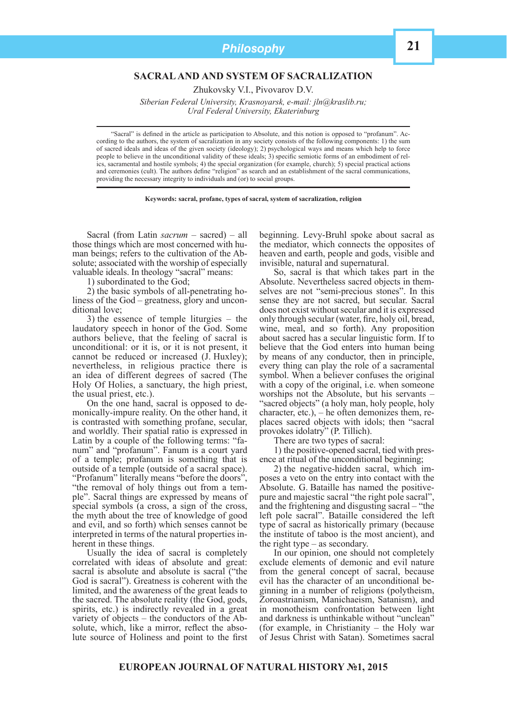# **SACRAL AND AND SYSTEM OF SACRALIZATION**

Zhukovsky V.I., Pivovarov D.V.

*Siberian Federal University, Krasnoyarsk, e-mail: jln@kraslib.ru; Ural Federal University, Ekaterinburg*

"Sacral" is defined in the article as participation to Absolute, and this notion is opposed to "profanum". According to the authors, the system of sacralization in any society consists of the following components: 1) the sum of sacred ideals and ideas of the given society (ideology); 2) psychological ways and means which help to force people to believe in the unconditional validity of these ideals; 3) specific semiotic forms of an embodiment of relics, sacramental and hostile symbols; 4) the special organization (for example, church); 5) special practical actions and ceremonies (cult). The authors define "religion" as search and an establishment of the sacral communications, providing the necessary integrity to individuals and (or) to social groups.

#### **Keywords: sacral, profane, types of sacral, system of sacralization, religion**

Sacral (from Latin *sacrum* – sacred) – all those things which are most concerned with human beings; refers to the cultivation of the Absolute; associated with the worship of especially valuable ideals. In theology "sacral" means:

1) subordinated to the God;

2) the basic symbols of all-penetrating holiness of the God – greatness, glory and unconditional love;

3) the essence of temple liturgies – the laudatory speech in honor of the God. Some authors believe, that the feeling of sacral is unconditional: or it is, or it is not present, it cannot be reduced or increased (J. Huxley); nevertheless, in religious practice there is an idea of different degrees of sacred (The Holy Of Holies, a sanctuary, the high priest, the usual priest, etc.).

On the one hand, sacral is opposed to demonically-impure reality. On the other hand, it is contrasted with something profane, secular, and worldly. Their spatial ratio is expressed in Latin by a couple of the following terms: "fanum" and "profanum". Fanum is a court yard of a temple; profanum is something that is outside of a temple (outside of a sacral space). "Profanum" literally means "before the doors", "the removal of holy things out from a temple". Sacral things are expressed by means of special symbols (a cross, a sign of the cross, the myth about the tree of knowledge of good and evil, and so forth) which senses cannot be interpreted in terms of the natural properties inherent in these things.

Usually the idea of sacral is completely correlated with ideas of absolute and great: sacral is absolute and absolute is sacral ("the God is sacral"). Greatness is coherent with the limited, and the awareness of the great leads to the sacred. The absolute reality (the God, gods, spirits, etc.) is indirectly revealed in a great variety of objects – the conductors of the Absolute, which, like a mirror, reflect the absolute source of Holiness and point to the first beginning. Levy-Bruhl spoke about sacral as the mediator, which connects the opposites of heaven and earth, people and gods, visible and invisible, natural and supernatural.

So, sacral is that which takes part in the Absolute. Nevertheless sacred objects in themselves are not "semi-precious stones". In this sense they are not sacred, but secular. Sacral does not exist without secular and it is expressed only through secular (water, fire, holy oil, bread, wine, meal, and so forth). Any proposition about sacred has a secular linguistic form. If to believe that the God enters into human being by means of any conductor, then in principle, every thing can play the role of a sacramental symbol. When a believer confuses the original with a copy of the original, i.e. when someone worships not the Absolute, but his servants – "sacred objects" (a holy man, holy people, holy character, etc.), – he often demonizes them, replaces sacred objects with idols; then "sacral provokes idolatry" (P. Tillich).

There are two types of sacral:

1) the positive-opened sacral, tied with presence at ritual of the unconditional beginning;

2) the negative-hidden sacral, which imposes a veto on the entry into contact with the Absolute. G. Bataille has named the positivepure and majestic sacral "the right pole sacral", and the frightening and disgusting sacral – "the left pole sacral". Bataille considered the left type of sacral as historically primary (because the institute of taboo is the most ancient), and the right type – as secondary.

In our opinion, one should not completely exclude elements of demonic and evil nature from the general concept of sacral, because evil has the character of an unconditional beginning in a number of religions (polytheism, Zoroastrianism, Manichaeism, Satanism), and in monotheism confrontation between light and darkness is unthinkable without "unclean" (for example, in Christianity – the Holy war of Jesus Christ with Satan). Sometimes sacral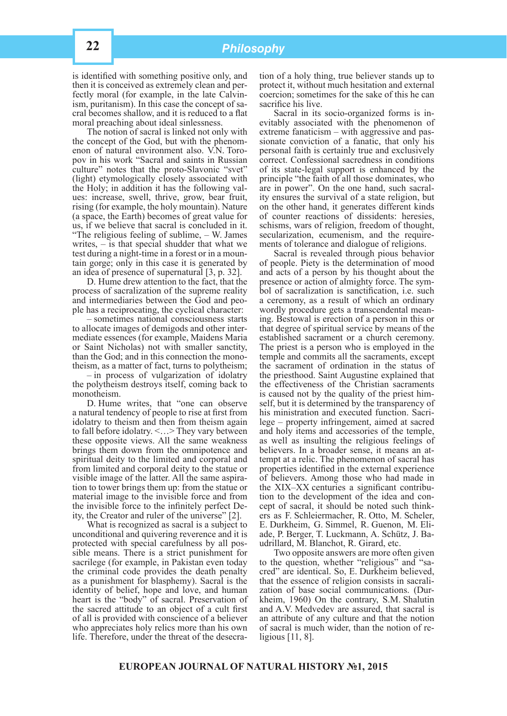is identified with something positive only, and then it is conceived as extremely clean and perfectly moral (for example, in the late Calvinism, puritanism). In this case the concept of sacral becomes shallow, and it is reduced to a flat moral preaching about ideal sinlessness.

The notion of sacral is linked not only with the concept of the God, but with the phenomenon of natural environment also. V.N. Toropov in his work "Sacral and saints in Russian culture" notes that the proto-Slavonic "svet" (light) etymologically closely associated with the Holy; in addition it has the following values: increase, swell, thrive, grow, bear fruit, rising (for example, the holy mountain). Nature (a space, the Earth) becomes of great value for us, if we believe that sacral is concluded in it. "The religious feeling of sublime, – W. James writes, – is that special shudder that what we test during a night-time in a forest or in a mountain gorge; only in this case it is generated by an idea of presence of supernatural [3, p. 32].

D. Hume drew attention to the fact, that the process of sacralization of the supreme reality and intermediaries between the God and people has a reciprocating, the cyclical character:

– sometimes national consciousness starts to allocate images of demigods and other intermediate essences (for example, Maidens Maria or Saint Nicholas) not with smaller sanctity, than the God; and in this connection the monotheism, as a matter of fact, turns to polytheism;

– in process of vulgarization of idolatry the polytheism destroys itself, coming back to monotheism.

D. Hume writes, that "one can observe a natural tendency of people to rise at first from idolatry to theism and then from theism again to fall before idolatry. <…> They vary between these opposite views. All the same weakness brings them down from the omnipotence and spiritual deity to the limited and corporal and from limited and corporal deity to the statue or visible image of the latter. All the same aspiration to tower brings them up: from the statue or material image to the invisible force and from the invisible force to the infinitely perfect Deity, the Creator and ruler of the universe" [2].

What is recognized as sacral is a subject to unconditional and quivering reverence and it is protected with special carefulness by all possible means. There is a strict punishment for sacrilege (for example, in Pakistan even today the criminal code provides the death penalty as a punishment for blasphemy). Sacral is the identity of belief, hope and love, and human heart is the "body" of sacral. Preservation of the sacred attitude to an object of a cult first of all is provided with conscience of a believer who appreciates holy relics more than his own life. Therefore, under the threat of the desecration of a holy thing, true believer stands up to protect it, without much hesitation and external coercion; sometimes for the sake of this he can sacrifice his live.

Sacral in its socio-organized forms is inevitably associated with the phenomenon of extreme fanaticism – with aggressive and passionate conviction of a fanatic, that only his personal faith is certainly true and exclusively correct. Confessional sacredness in conditions of its state-legal support is enhanced by the principle "the faith of all those dominates, who are in power". On the one hand, such sacrality ensures the survival of a state religion, but on the other hand, it generates different kinds of counter reactions of dissidents: heresies, schisms, wars of religion, freedom of thought, secularization, ecumenism, and the requirements of tolerance and dialogue of religions.

Sacral is revealed through pious behavior of people. Piety is the determination of mood and acts of a person by his thought about the presence or action of almighty force. The symbol of sacralization is sanctification, *i.e.* such a ceremony, as a result of which an ordinary wordly procedure gets a transcendental meaning. Bestowal is erection of a person in this or that degree of spiritual service by means of the established sacrament or a church ceremony. The priest is a person who is employed in the temple and commits all the sacraments, except the sacrament of ordination in the status of the priesthood. Saint Augustine explained that the effectiveness of the Christian sacraments is caused not by the quality of the priest himself, but it is determined by the transparency of his ministration and executed function. Sacrilege – property infringement, aimed at sacred and holy items and accessories of the temple, as well as insulting the religious feelings of believers. In a broader sense, it means an attempt at a relic. The phenomenon of sacral has properties identified in the external experience of believers. Among those who had made in the XIX–XX centuries a significant contribution to the development of the idea and concept of sacral, it should be noted such thinkers as F. Schleiermacher, R. Otto, M. Scheler, E. Durkheim, G. Simmel, R. Guenon, M. Eliade, P. Berger, T. Luckmann, A. Schütz, J. Baudrillard, M. Blanchot, R. Girard, etc.

Two opposite answers are more often given to the question, whether "religious" and "sacred" are identical. So, E. Durkheim believed, that the essence of religion consists in sacralization of base social communications. (Durkheim, 1960) On the contrary, S.M. Shalutin and A.V. Medvedev are assured, that sacral is an attribute of any culture and that the notion of sacral is much wider, than the notion of religious [11, 8].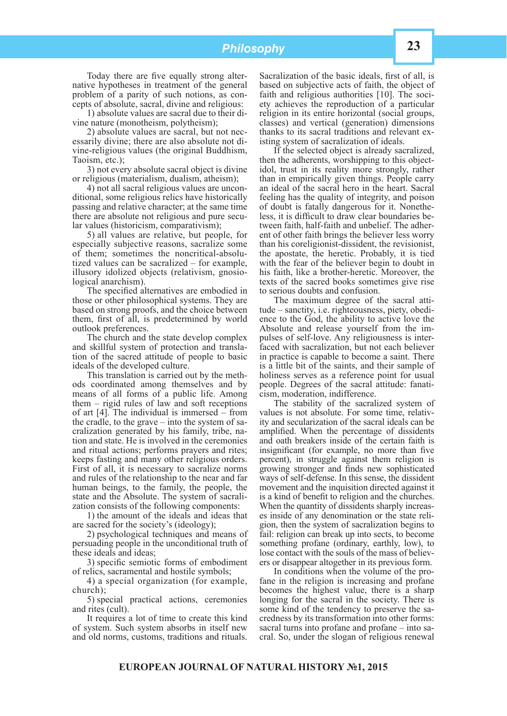Today there are five equally strong alternative hypotheses in treatment of the general problem of a parity of such notions, as concepts of absolute, sacral, divine and religious:

1) absolute values are sacral due to their divine nature (monotheism, polytheism);

2) absolute values are sacral, but not necessarily divine; there are also absolute not divine-religious values (the original Buddhism, Taoism, etc.);

3) not every absolute sacral object is divine or religious (materialism, dualism, atheism);

4) not all sacral religious values are unconditional, some religious relics have historically passing and relative character; at the same time there are absolute not religious and pure secular values (historicism, comparativism);

5) all values are relative, but people, for especially subjective reasons, sacralize some of them; sometimes the noncritical-absolutized values can be sacralized – for example, illusory idolized objects (relativism, gnosiological anarchism).

The specified alternatives are embodied in those or other philosophical systems. They are based on strong proofs, and the choice between them, first of all, is predetermined by world outlook preferences.

The church and the state develop complex and skillful system of protection and translation of the sacred attitude of people to basic ideals of the developed culture.

This translation is carried out by the methods coordinated among themselves and by means of all forms of a public life. Among them – rigid rules of law and soft receptions of art [4]. The individual is immersed – from the cradle, to the grave – into the system of sacralization generated by his family, tribe, nation and state. He is involved in the ceremonies and ritual actions; performs prayers and rites; keeps fasting and many other religious orders. First of all, it is necessary to sacralize norms and rules of the relationship to the near and far human beings, to the family, the people, the state and the Absolute. The system of sacralization consists of the following components:

1) the amount of the ideals and ideas that are sacred for the society's (ideology);

2) psychological techniques and means of persuading people in the unconditional truth of these ideals and ideas;

3) specific semiotic forms of embodiment of relics, sacramental and hostile symbols;

4) a special organization (for example, church);

5) special practical actions, ceremonies and rites (cult).

It requires a lot of time to create this kind of system. Such system absorbs in itself new and old norms, customs, traditions and rituals.

Sacralization of the basic ideals, first of all, is based on subjective acts of faith, the object of faith and religious authorities [10]. The society achieves the reproduction of a particular religion in its entire horizontal (social groups, classes) and vertical (generation) dimensions thanks to its sacral traditions and relevant existing system of sacralization of ideals.

If the selected object is already sacralized, then the adherents, worshipping to this objectidol, trust in its reality more strongly, rather than in empirically given things. People carry an ideal of the sacral hero in the heart. Sacral feeling has the quality of integrity, and poison of doubt is fatally dangerous for it. Nonetheless, it is difficult to draw clear boundaries between faith, half-faith and unbelief. The adherent of other faith brings the believer less worry than his coreligionist-dissident, the revisionist, the apostate, the heretic. Probably, it is tied with the fear of the believer begin to doubt in his faith, like a brother-heretic. Moreover, the texts of the sacred books sometimes give rise to serious doubts and confusion.

The maximum degree of the sacral attitude – sanctity, i.e. righteousness, piety, obedience to the God, the ability to active love the Absolute and release yourself from the impulses of self-love. Any religiousness is interfaced with sacralization, but not each believer in practice is capable to become a saint. There is a little bit of the saints, and their sample of holiness serves as a reference point for usual people. Degrees of the sacral attitude: fanaticism, moderation, indifference.

The stability of the sacralized system of values is not absolute. For some time, relativity and secularization of the sacral ideals can be amplified. When the percentage of dissidents and oath breakers inside of the certain faith is insignificant (for example, no more than five percent), in struggle against them religion is growing stronger and finds new sophisticated ways of self-defense. In this sense, the dissident movement and the inquisition directed against it is a kind of benefit to religion and the churches. When the quantity of dissidents sharply increases inside of any denomination or the state religion, then the system of sacralization begins to fail: religion can break up into sects, to become something profane (ordinary, earthly, low), to lose contact with the souls of the mass of believers or disappear altogether in its previous form.

In conditions when the volume of the profane in the religion is increasing and profane becomes the highest value, there is a sharp longing for the sacral in the society. There is some kind of the tendency to preserve the sacredness by its transformation into other forms: sacral turns into profane and profane – into sacral. So, under the slogan of religious renewal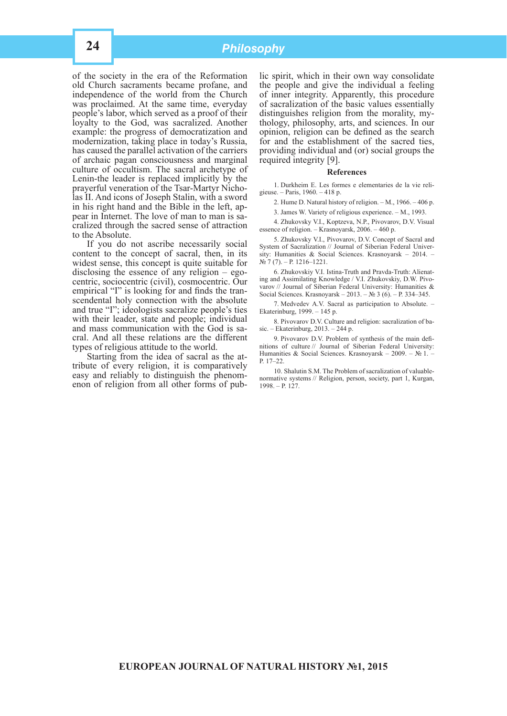of the society in the era of the Reformation old Church sacraments became profane, and independence of the world from the Church was proclaimed. At the same time, everyday people's labor, which served as a proof of their loyalty to the God, was sacralized. Another example: the progress of democratization and modernization, taking place in today's Russia, has caused the parallel activation of the carriers of archaic pagan consciousness and marginal culture of occultism. The sacral archetype of Lenin-the leader is replaced implicitly by the prayerful veneration of the Tsar-Martyr Nicholas II. And icons of Joseph Stalin, with a sword in his right hand and the Bible in the left, appear in Internet. The love of man to man is sacralized through the sacred sense of attraction to the Absolute.

If you do not ascribe necessarily social content to the concept of sacral, then, in its widest sense, this concept is quite suitable for disclosing the essence of any religion  $-$  egocentric, sociocentric (civil), cosmocentric. Our empirical "I" is looking for and finds the transcendental holy connection with the absolute and true "I"; ideologists sacralize people's ties with their leader, state and people; individual and mass communication with the God is sacral. And all these relations are the different types of religious attitude to the world.

Starting from the idea of sacral as the attribute of every religion, it is comparatively easy and reliably to distinguish the phenomenon of religion from all other forms of pub-

lic spirit, which in their own way consolidate the people and give the individual a feeling of inner integrity. Apparently, this procedure of sacralization of the basic values essentially distinguishes religion from the morality, mythology, philosophy, arts, and sciences. In our opinion, religion can be defined as the search for and the establishment of the sacred ties, providing individual and (or) social groups the required integrity [9].

#### **References**

1. Durkheim E. Les formes e elementaries de la vie religieuse. – Paris, 1960. – 418 p.

2. Hume D. Natural history of religion. – M., 1966. – 406 р.

3. James W. Variety of religious experience. – M., 1993.

4. Zhukovsky V.I., Koptzeva, N.P., Pivovarov, D.V. Visual essence of religion. – Krasnoyarsk, 2006. – 460 p.

5. Zhukovsky V.I., Pivovarov, D.V. Concept of Sacral and System of Sacralization // Journal of Siberian Federal University: Humanities & Social Sciences. Krasnoyarsk – 2014. –  $N<sub>2</sub>$  7 (7). – P. 1216–1221.

6. Zhukovskiy V.I. Istina-Truth and Pravda-Truth: Alienating and Assimilating Knowledge / V.I. Zhukovskiy, D.W. Pivovarov // Journal of Siberian Federal University: Humanities & Social Sciences. Krasnovarsk – 2013. – № 3 (6). – Р. 334–345.

7. Medvedev A.V. Sacral as participation to Absolute. – Ekaterinburg, 1999. – 145 p.

8. Pivovarov D.V. Culture and religion: sacralization of basic. – Ekaterinburg, 2013. – 244 p.

9. Pivovarov D.V. Problem of synthesis of the main definitions of culture // Journal of Siberian Federal University: Humanities & Social Sciences. Krasnovarsk – 2009. – № 1. P. 17–22.

10. Shalutin S.M. The Problem of sacralization of valuablenormative systems // Religion, person, society, part 1, Kurgan,  $1998. - P. 127.$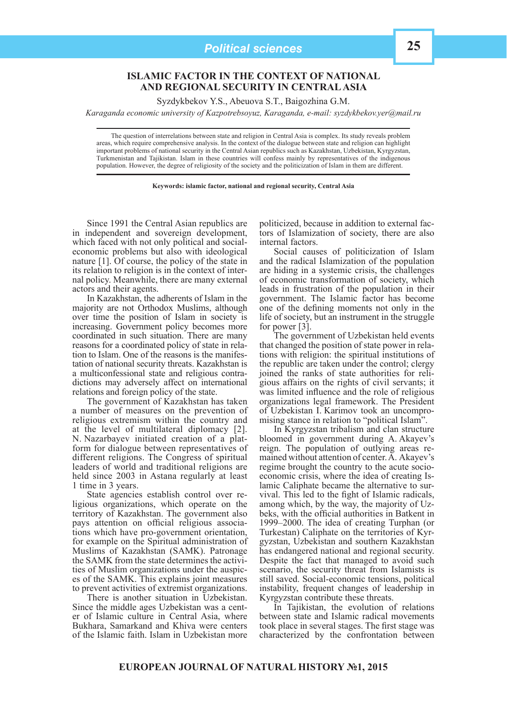# **ISLAMIC FACTOR IN THE CONTEXT OF NATIONAL AND REGIONAL SECURITY IN CENTRAL ASIA**

Syzdykbekov Y.S., Abeuova S.T., Baigozhina G.M.

*Karaganda economic university of Kazpotrebsoyuz, Karaganda, e-mail: syzdykbekov.yer@mail.ru*

The question of interrelations between state and religion in Central Asia is complex. Its study reveals problem areas, which require comprehensive analysis. In the context of the dialogue between state and religion can highlight important problems of national security in the Central Asian republics such as Kazakhstan, Uzbekistan, Kyrgyzstan, Turkmenistan and Tajikistan. Islam in these countries will confess mainly by representatives of the indigenous population. However, the degree of religiosity of the society and the politicization of Islam in them are different.

#### **Keywords: islamic factor, national and regional security, Central Asia**

Since 1991 the Central Asian republics are in independent and sovereign development, which faced with not only political and socialeconomic problems but also with ideological nature [1]. Of course, the policy of the state in its relation to religion is in the context of internal policy. Meanwhile, there are many external actors and their agents.

In Kazakhstan, the adherents of Islam in the majority are not Orthodox Muslims, although over time the position of Islam in society is increasing. Government policy becomes more coordinated in such situation. There are many reasons for a coordinated policy of state in relation to Islam. One of the reasons is the manifestation of national security threats. Kazakhstan is a multiconfessional state and religious contradictions may adversely affect on international relations and foreign policy of the state.

The government of Kazakhstan has taken a number of measures on the prevention of religious extremism within the country and at the level of multilateral diplomacy [2]. N. Nazarbayev initiated creation of a platform for dialogue between representatives of different religions. The Congress of spiritual leaders of world and traditional religions are held since 2003 in Astana regularly at least 1 time in 3 years.

State agencies establish control over religious organizations, which operate on the territory of Kazakhstan. The government also pays attention on official religious associations which have pro-government orientation, for example on the Spiritual administration of Muslims of Kazakhstan (SAMK). Patronage the SAMK from the state determines the activities of Muslim organizations under the auspices of the SAMK. This explains joint measures to prevent activities of extremist organizations.

There is another situation in Uzbekistan. Since the middle ages Uzbekistan was a center of Islamic culture in Central Asia, where Bukhara, Samarkand and Khiva were centers of the Islamic faith. Islam in Uzbekistan more

politicized, because in addition to external factors of Islamization of society, there are also internal factors.

Social causes of politicization of Islam and the radical Islamization of the population are hiding in a systemic crisis, the challenges of economic transformation of society, which leads in frustration of the population in their government. The Islamic factor has become one of the defining moments not only in the life of society, but an instrument in the struggle for power [3].

The government of Uzbekistan held events that changed the position of state power in relations with religion: the spiritual institutions of the republic are taken under the control; clergy joined the ranks of state authorities for religious affairs on the rights of civil servants; it was limited influence and the role of religious organizations legal framework. The President of Uzbekistan I. Karimov took an uncompromising stance in relation to "political Islam".

In Kyrgyzstan tribalism and clan structure bloomed in government during A. Akayev's reign. The population of outlying areas remained without attention of center. A. Akayev's regime brought the country to the acute socioeconomic crisis, where the idea of creating Islamic Caliphate became the alternative to survival. This led to the fight of Islamic radicals, among which, by the way, the majority of Uzbeks, with the official authorities in Batkent in 1999–2000. The idea of creating Turphan (or Turkestan) Caliphate on the territories of Kyrgyzstan, Uzbekistan and southern Kazakhstan has endangered national and regional security. Despite the fact that managed to avoid such scenario, the security threat from Islamists is still saved. Social-economic tensions, political instability, frequent changes of leadership in Kyrgyzstan contribute these threats.

In Tajikistan, the evolution of relations between state and Islamic radical movements took place in several stages. The first stage was characterized by the confrontation between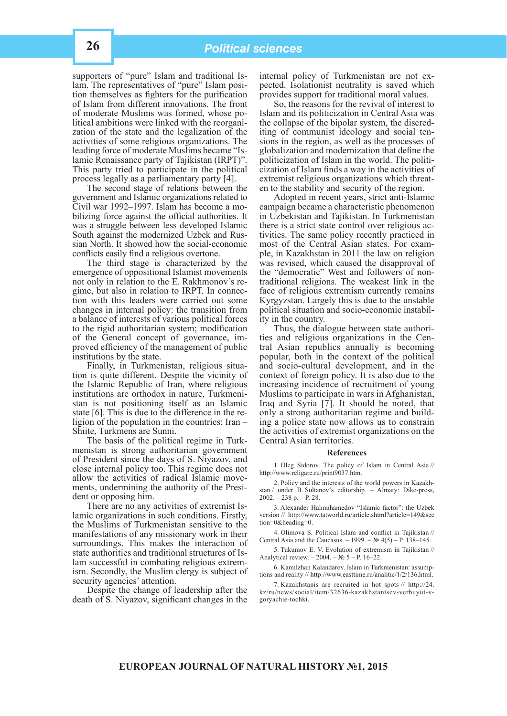supporters of "pure" Islam and traditional Islam. The representatives of "pure" Islam position themselves as fighters for the purification of Islam from different innovations. The front of moderate Muslims was formed, whose political ambitions were linked with the reorganization of the state and the legalization of the activities of some religious organizations. The leading force of moderate Muslims became "Islamic Renaissance party of Tajikistan (IRPT)". This party tried to participate in the political process legally as a parliamentary party [4].

The second stage of relations between the government and Islamic organizations related to Civil war 1992–1997. Islam has become a mobilizing force against the official authorities. It was a struggle between less developed Islamic South against the modernized Uzbek and Russian North. It showed how the social-economic conflicts easily find a religious overtone.

The third stage is characterized by the emergence of oppositional Islamist movements not only in relation to the E. Rakhmonov's regime, but also in relation to IRPT. In connection with this leaders were carried out some changes in internal policy: the transition from a balance of interests of various political forces to the rigid authoritarian system; modification of the General concept of governance, improved efficiency of the management of public institutions by the state.

Finally, in Turkmenistan, religious situation is quite different. Despite the vicinity of the Islamic Republic of Iran, where religious institutions are orthodox in nature, Turkmenistan is not positioning itself as an Islamic state [6]. This is due to the difference in the religion of the population in the countries: Iran – Shiite, Turkmens are Sunni.

The basis of the political regime in Turkmenistan is strong authoritarian government of President since the days of S. Niyazov, and close internal policy too. This regime does not allow the activities of radical Islamic movements, undermining the authority of the President or opposing him.

There are no any activities of extremist Islamic organizations in such conditions. Firstly, the Muslims of Turkmenistan sensitive to the manifestations of any missionary work in their surroundings. This makes the interaction of state authorities and traditional structures of Islam successful in combating religious extremism. Secondly, the Muslim clergy is subject of security agencies' attention.

Despite the change of leadership after the death of S. Niyazov, significant changes in the

internal policy of Turkmenistan are not expected. Isolationist neutrality is saved which provides support for traditional moral values.

So, the reasons for the revival of interest to Islam and its politicization in Central Asia was the collapse of the bipolar system, the discrediting of communist ideology and social tensions in the region, as well as the processes of globalization and modernization that define the politicization of Islam in the world. The politicization of Islam finds a way in the activities of extremist religious organizations which threaten to the stability and security of the region.

Adopted in recent years, strict anti-Islamic campaign became a characteristic phenomenon in Uzbekistan and Tajikistan. In Turkmenistan there is a strict state control over religious activities. The same policy recently practiced in most of the Central Asian states. For example, in Kazakhstan in 2011 the law on religion was revised, which caused the disapproval of the "democratic" West and followers of nontraditional religions. The weakest link in the face of religious extremism currently remains Kyrgyzstan. Largely this is due to the unstable political situation and socio-economic instability in the country.

Thus, the dialogue between state authorities and religious organizations in the Central Asian republics annually is becoming popular, both in the context of the political and socio-cultural development, and in the context of foreign policy. It is also due to the increasing incidence of recruitment of young Muslims to participate in wars in Afghanistan, Iraq and Syria [7]. It should be noted, that only a strong authoritarian regime and building a police state now allows us to constrain the activities of extremist organizations on the Central Asian territories.

#### **References**

1. Oleg Sidorov. The policy of Islam in Central Asia // http://www.religare.ru/print9037.htm.

2. Policy and the interests of the world powers in Kazakhstan / under B. Sultanov's editorship. – Almaty: Dike-press, 2002. – 238 p. – P. 28.

3. Alexander Halmuhamedov "Islamic factor": the Uzbek version // http://www.tatworld.ru/article.shtml?article=149&sec tion=0&heading=0.

4. Olimova S. Political Islam and conflict in Tajikistan // Central Asia and the Caucasus. – 1999. – № 4(5) – P. 138–145.

5. Tukumov E. V. Evolution of extremism in Tajikistan // Analytical review. – 2004. –  $\mathbb{N}$ <sup>o</sup> 5 – P. 16–22.

6. Kamilzhan Kalandarov. Islam in Turkmenistan: assumptions and reality // http://www.easttime.ru/analitic/1/2/136.html.

7. Kazakhstanis are recruited in hot spots // http://24. kz/ru/news/social/item/32636-kazakhstantsev-verbuyut-vgoryachie-tochki .

**EUROPEAN JOURNAL OF NATURAL HISTORY №1, 2015**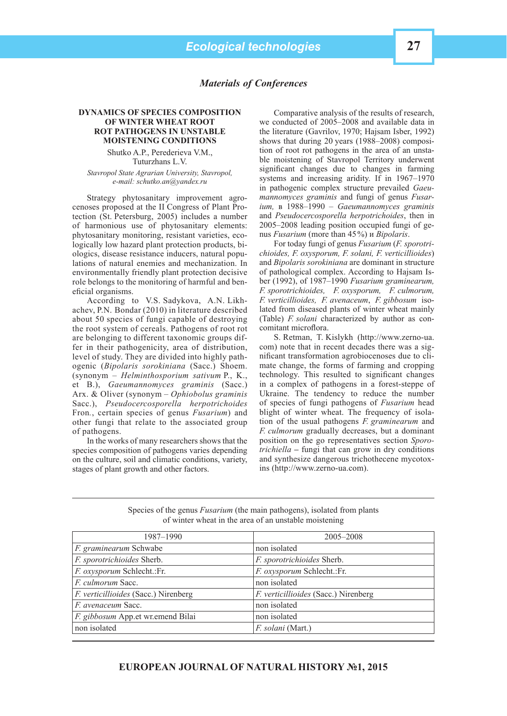# *Materials of Conferences*

### **DYNAMICS OF SPECIES COMPOSITION OF WINTER WHEAT ROOT ROT PATHOGENS IN UNSTABLE MOISTENING CONDITIONS**

Shutko A.P., Perederieva V.M., Tuturzhans L.V.

*Stavropol State Agrarian University, Stavropol, e-mail: schutko.an@yandex.ru*

Strategy phytosanitary improvement agrocenoses proposed at the II Congress of Plant Protection (St. Petersburg, 2005) includes a number of harmonious use of phytosanitary elements: phytosanitary monitoring, resistant varieties, ecologically low hazard plant protection products, biologics, disease resistance inducers, natural populations of natural enemies and mechanization. In environmentally friendly plant protection decisive role belongs to the monitoring of harmful and beneficial organisms.

According to V.S. Sadykova, A.N. Likhachev, P.N. Bondar (2010) in literature described about 50 species of fungi capable of destroying the root system of cereals. Pathogens of root rot are belonging to different taxonomic groups differ in their pathogenicity, area of distribution, level of study. They are divided into highly pathogenic (*Bipolaris sorokiniana* (Sacc.) Shoem. (synonym – *Helminthosporium sativum* P., K., et В.), *Gaeumannomyces graminis* (Sacc.) Arx. & Oliver (synonym – *Ophiobolus graminis*  Sacc.), *Pseudocercosporella herpotrichoides*  Fron*.*, certain species of genus *Fusarium*) and other fungi that relate to the associated group of pathogens.

In the works of many researchers shows that the species composition of pathogens varies depending on the culture, soil and climatic conditions, variety, stages of plant growth and other factors.

Comparative analysis of the results of research, we conducted of 2005–2008 and available data in the literature (Gavrilov, 1970; Hajsam Isber, 1992) shows that during 20 years (1988–2008) composition of root rot pathogens in the area of an unstable moistening of Stavropol Territory underwent significant changes due to changes in farming systems and increasing aridity. If in 1967–1970 in pathogenic complex structure prevailed *Gaeumannomyces graminis* and fungi of genus *Fusarium,* в 1988–1990 – *Gaeumannomyces graminis*  and *Pseudocercosporella herpotrichoides*, then in 2005–2008 leading position occupied fungi of genus *Fusarium* (more than 45 %) и *Bipolaris*.

For today fungi of genus *Fusarium* (*F. sporotrichioides, F. oxysporum, F. solani, F. verticillioides*) and *Bipolaris sorokiniana* are dominant in structure of pathological complex. According to Hajsam Isber (1992), of 1987–1990 *Fusarium graminearum, F. sporotrichioides, F. oxysporum, F. culmorum, F. verticillioides, F. avenaceum*, *F. gibbosum* isolated from diseased plants of winter wheat mainly (Table) *F. solani* characterized by author as concomitant microflora.

S. Retman, T. Kislykh (http://www.zerno-ua. com) note that in recent decades there was a significant transformation agrobiocenoses due to climate change, the forms of farming and cropping technology. This resulted to significant changes in a complex of pathogens in a forest-steppe of Ukraine. The tendency to reduce the number of species of fungi pathogens of *Fusarium* head blight of winter wheat. The frequency of isolation of the usual pathogens *F. graminearum* and *F. culmorum* gradually decreases, but a dominant position on the go representatives section *Sporotrichiella* **–** fungi that can grow in dry conditions and synthesize dangerous trichothecene mycotoxins (http://www.zerno-ua.com).

| 1987-1990                            | 2005-2008                            |
|--------------------------------------|--------------------------------------|
| F. graminearum Schwabe               | non isolated                         |
| F. sporotrichioides Sherb.           | F. sporotrichioides Sherb.           |
| F. oxysporum Schlecht.:Fr.           | F. oxysporum Schlecht.:Fr.           |
| <i>F. culmorum</i> Sacc.             | non isolated                         |
| F. verticillioides (Sacc.) Nirenberg | F. verticillioides (Sacc.) Nirenberg |
| F. avenaceum Sacc.                   | non isolated                         |
| F. gibbosum App.et wr.emend Bilai    | non isolated                         |
| non isolated                         | F. solani (Mart.)                    |

Species of the genus *Fusarium* (the main pathogens), isolated from plants of winter wheat in the area of an unstable moistening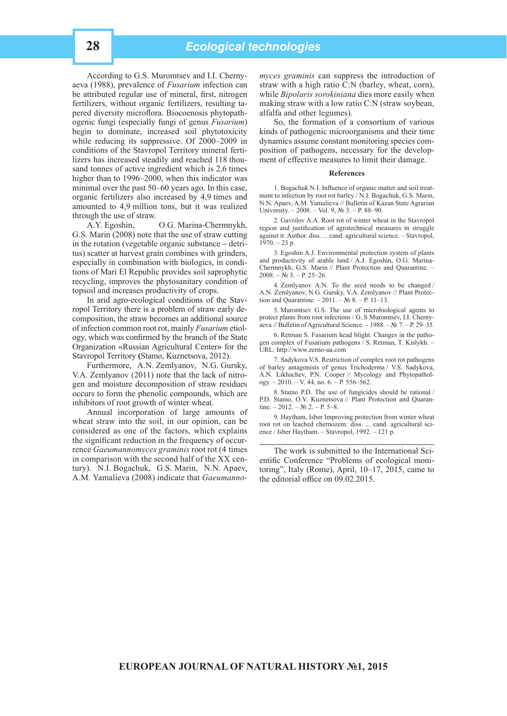According to G.S. Muromtsev and I.I. Chernyaeva (1988), prevalence of *Fusarium* infection can be attributed regular use of mineral, first, nitrogen fertilizers, without organic fertilizers, resulting tapered diversity microflora. Biocoenosis phytopathogenic fungi (especially fungi of genus *Fusarium*) begin to dominate, increased soil phytotoxicity while reducing its suppressive. Of 2000–2009 in conditions of the Stavropol Territory mineral fertilizers has increased steadily and reached 118 thousand tonnes of active ingredient which is 2,6 times higher than to 1996–2000, when this indicator was minimal over the past 50–60 years ago. In this case, organic fertilizers also increased by 4,9 times and amounted to 4,9 million tons, but it was realized through the use of straw.

A.Y. Egoshin, O.G. Marina-Chermnykh, G.S. Marin (2008) note that the use of straw cutting in the rotation (vegetable organic substance **–** detritus) scatter at harvest grain combines with grinders, especially in combination with biologics, in conditions of Mari El Republic provides soil saprophytic recycling, improves the phytosanitary condition of topsoil and increases productivity of crops.

In arid agro-ecological conditions of the Stavropol Territory there is a problem of straw early decomposition, the straw becomes an additional source of infection common root rot, mainly *Fusarium* etiology, which was confirmed by the branch of the State Organization «Russian Agricultural Center**»** for the Stavropol Territory **(**Stamo, Kuznetsova, 2012).

Furthermore, А.N. Zemlyanov, N.G. Gursky, V.А. Zemlyanov (2011) note that the lack of nitrogen and moisture decomposition of straw residues occurs to form the phenolic compounds, which are inhibitors of root growth of winter wheat.

Annual incorporation of large amounts of wheat straw into the soil, in our opinion, can be considered as one of the factors, which explains the significant reduction in the frequency of occurrence *Gaeumannomyces graminis* root rot (4 times in comparison with the second half of the ХХ century). N.I. Bogachuk, G.S. Marin, N.N. Apaev, A.M. Yamalieva (2008) indicate that *Gaeumanno-* *myces graminis* can suppress the introduction of straw with a high ratio C:N (barley, wheat, corn), while *Bipolaris sorokiniana* dies more easily when making straw with a low ratio C:N (straw soybean, alfalfa and other legumes).

So, the formation of a consortium of various kinds of pathogenic microorganisms and their time dynamics assume constant monitoring species composition of pathogens, necessary for the development of effective measures to limit their damage.

#### **References**

1. Bogachuk N.I. Influence of organic matter and soil treatment to infection by root rot barley / N.I. Bogachuk, G.S. Marin, N.N. Apaev, A.M. Yamalieva // Bulletin of Kazan State Agrarian University. – 2008. – Vol. 9, № 3. – P. 88–90.

2. Gavrilov A.A. Root rot of winter wheat in the Stavropol region and justification of agrotechnical measures in struggle against it: Author. diss. ... cand. agricultural science. – Stavropol,  $1970 - 23$  p.

3. Egoshin A.J. Environmental protection system of plants and productivity of arable land / A.J. Egoshin, O.G. Marina-Chermnykh, G.S. Marin // Plant Protection and Quarantine. –  $2008. - N<sub>2</sub> 3. - P. 25 - 26.$ 

4. Zemlyanov A.N. To the seed needs to be changed / A.N. Zemlyanov, N.G. Gursky, V.A. Zemlyanov // Plant Protection and Quarantine. – 2011. –  $N_2$  8. – P. 11–13.

5. Muromtsev G.S. The use of microbiological agents to protect plants from root infections / G..S Muromtsev, I.I. Chernyaeva // Bulletin of Agricultural Science. – 1988. – № 7. – P. 29–35.

6. Retman S. Fusarium head blight. Changes in the pathogen complex of Fusarium pathogens / S. Retman, T. Kislykh. – URL: http://www.zerno-ua.com

7. Sadykova V.S. Restriction of complex root rot pathogens of barley antagonists of genus Trichoderma / V.S. Sadykova, A.N. Likhachev, P.N. Cooper // Mycology and Phytopathology. – 2010. – V. 44, no. 6. – P. 556–562.

8. Stamo P.D. The use of fungicides should be rational / P.D. Stamo, O.V. Kuznetsova // Plant Protection and Quarantine.  $-2012. - N_2 2. - P. 5-8.$ 

9. Haytham, Isber Improving protection from winter wheat root rot on leached chernozem: diss. ... cand. agricultural science / Isber Haytham. – Stavropol, 1992. – 121 p.

The work is submitted to the International Scientific Conference "Problems of ecological monitoring", Italy (Rome), April, 10–17, 2015, came to the editorial office on 09.02.2015.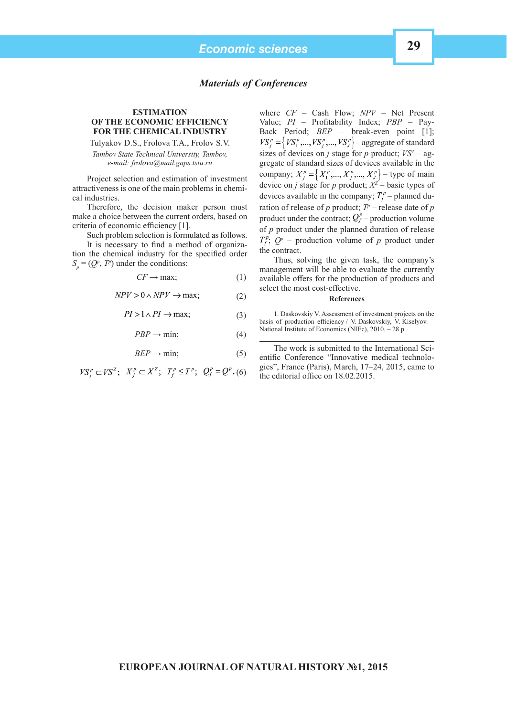# *Materials of Conferences*

# **ESTIMATION OF THE ECONOMIC EFFICIENCY FOR THE CHEMICAL INDUSTRY**

Tulyakov D.S., Frolova T.A., Frolov S.V.

*Tambov State Technical University, Tambov, e-mail: frolova@mail.gaps.tstu.ru*

Project selection and estimation of investment attractiveness is one of the main problems in chemical industries.

Therefore, the decision maker person must make a choice between the current orders, based on criteria of economic efficiency [1].

Such problem selection is formulated as follows.

It is necessary to find a method of organization the chemical industry for the specified order  $S_p = (Q^p, T^p)$  under the conditions:

$$
CF \to \max;\tag{1}
$$

$$
NPV > 0 \land NPV \to \text{max};\tag{2}
$$

 $PI > 1 \land PI \rightarrow \text{max};$  (3)

$$
PBP \to \min;\tag{4}
$$

$$
BEP \to \min;\tag{5}
$$

$$
VS_j^p\subset VS^z;\ X_j^p\subset X^z;\ T_j^p\leq T^p;\ Q_j^p=Q^p,(6)
$$

where *CF* – Cash Flow; *NPV* – Net Present Value;  $PI$  – Profitability Index;  $PBP$  – Pay-Back Period; *BEP* – break-even point [1];  $VS_i^p = \left\{VS_i^p,...,VS_i^p,...,VS_j^p\right\}$  – aggregate of standard sizes of devices on *j* stage for *p* product;  $VS^2$  – aggregate of standard sizes of devices available in the company;  $X_i^p = \{X_1^p, ..., X_i^p, ..., X_i^p\}$  – type of main device on *j* stage for *p* product;  $X^Z$  – basic types of devices available in the company;  $T_f^p$  – planned duration of release of *p* product;  $T^p$  – release date of *p* product under the contract;  $Q_f^p$  – production volume of *p* product under the planned duration of release  $\phi$ ;  $Q^p$  – production volume of *p* product under the contract.

Thus, solving the given task, the company's management will be able to evaluate the currently available offers for the production of products and select the most cost-effective.

#### **References**

1. Daskovskiy V. Assessment of investment projects on the basis of production efficiency / V. Daskovskiy, V. Kiselyov.  $-$ National Institute of Economics (NIEc), 2010. – 28 p.

The work is submitted to the International Scientific Conference "Innovative medical technologies", France (Paris), March, 17–24, 2015, came to the editorial office on 18.02.2015.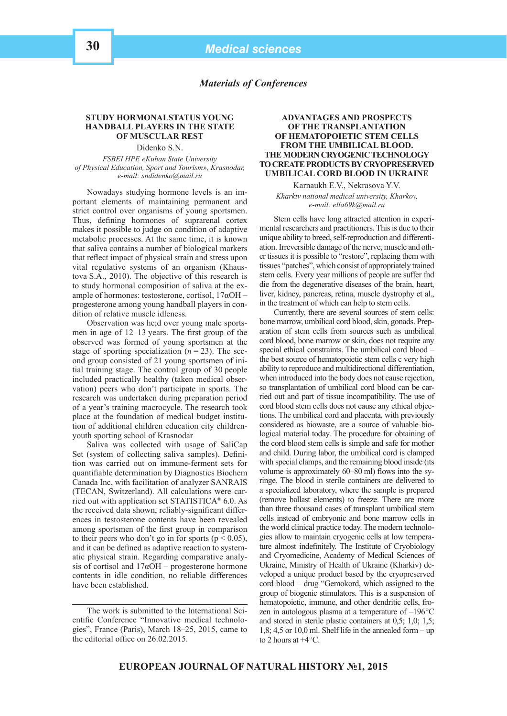# *Materials of Conferences*

# **STUDY HORMONALSTATUS YOUNG HANDBALL PLAYERS IN THE STATE OF MUSCULAR REST**

Didenko S.N.

*FSBEI HPE «Kuban State University of Physical Education, Sport and Tourism», Krasnodar, e-mail: sndidenko@mail.ru*

Nowadays studying hormone levels is an important elements of maintaining permanent and strict control over organisms of young sportsmen. Thus, defining hormones of suprarenal cortex makes it possible to judge on condition of adaptive metabolic processes. At the same time, it is known that saliva contains a number of biological markers that reflect impact of physical strain and stress upon vital regulative systems of an organism (Khaustova S.A., 2010). The objective of this research is to study hormonal composition of saliva at the example of hormones: testosterone, cortisol, 17αОН – progesterone among young handball players in condition of relative muscle idleness.

Observation was he;d over young male sportsmen in age of  $12-13$  years. The first group of the observed was formed of young sportsmen at the stage of sporting specialization  $(n = 23)$ . The second group consisted of 21 young sportsmen of initial training stage. The control group of 30 people included practically healthy (taken medical observation) peers who don't participate in sports. The research was undertaken during preparation period of a year's training macrocycle. The research took place at the foundation of medical budget institution of additional children education city childrenyouth sporting school of Krasnodar

Saliva was collected with usage of SaliCap Set (system of collecting saliva samples). Definition was carried out on immune-ferment sets for quantifiable determination by Diagnostics Biochem Canada Inc, with facilitation of analyzer SANRAIS (TECAN, Switzerland). All calculations were carried out with application set STATISTICA® 6.0. As the received data shown, reliably-significant differences in testosterone contents have been revealed among sportsmen of the first group in comparison to their peers who don't go in for sports ( $p < 0.05$ ), and it can be defined as adaptive reaction to systematic physical strain. Regarding comparative analysis of cortisol and  $17\alpha$ OH – progesterone hormone contents in idle condition, no reliable differences have been established.

## **ADVANTAGES AND PROSPECTS OF THE TRANSPLANTATION OF HEMATOPOIETIC STEM CELLS FROM THE UMBILICAL BLOOD. THE MODERN CRYOGENIC TECHNOLOGY TO CREATE PRODUCTS BY CRYOPRESERVED UMBILICAL CORD BLOOD IN UKRAINE**

Karnaukh E.V., Nekrasova Y.V. *Kharkiv national medical university, Kharkov, e-mail: ella69k@mail.ru*

Stem cells have long attracted attention in experimental researchers and practitioners. This is due to their unique ability to breed, self-reproduction and differentiation. Irreversible damage of the nerve, muscle and other tissues it is possible to "restore", replacing them with tissues "patches", which consist of appropriately trained stem cells. Every year millions of people are suffer fnd die from the degenerative diseases of the brain, heart, liver, kidney, pancreas, retina, muscle dystrophy et al., in the treatment of which can help to stem cells.

Currently, there are several sources of stem cells: bone marrow, umbilical cord blood, skin, gonads. Preparation of stem cells from sources such as umbilical cord blood, bone marrow or skin, does not require any special ethical constraints. The umbilical cord blood – the best source of hematopoietic stem cells c very high ability to reproduce and multidirectional differentiation, when introduced into the body does not cause rejection, so transplantation of umbilical cord blood can be carried out and part of tissue incompatibility. The use of cord blood stem cells does not cause any ethical objections. The umbilical cord and placenta, with previously considered as biowaste, are a source of valuable biological material today. The procedure for obtaining of the cord blood stem cells is simple and safe for mother and child. During labor, the umbilical cord is clamped with special clamps, and the remaining blood inside (its volume is approximately  $60-80$  ml) flows into the syringe. The blood in sterile containers are delivered to a specialized laboratory, where the sample is prepared (remove ballast elements) to freeze. There are more than three thousand cases of transplant umbilical stem cells instead of embryonic and bone marrow cells in the world clinical practice today. The modern technologies allow to maintain cryogenic cells at low temperature almost indefinitely. The Institute of Cryobiology and Cryomedicine, Academy of Medical Sciences of Ukraine, Ministry of Health of Ukraine (Kharkiv) developed a unique product based by the cryopreserved cord blood – drug "Gemokord, which assigned to the group of biogenic stimulators. This is a suspension of hematopoietic, immune, and other dendritic cells, frozen in autologous plasma at a temperature of –196°C and stored in sterile plastic containers at 0,5; 1,0; 1,5; 1,8; 4,5 or 10,0 ml. Shelf life in the annealed form – up to 2 hours at  $+4^{\circ}$ C.

The work is submitted to the International Scientific Conference "Innovative medical technologies", France (Paris), March 18–25, 2015, came to the editorial office on  $26.02.2015$ .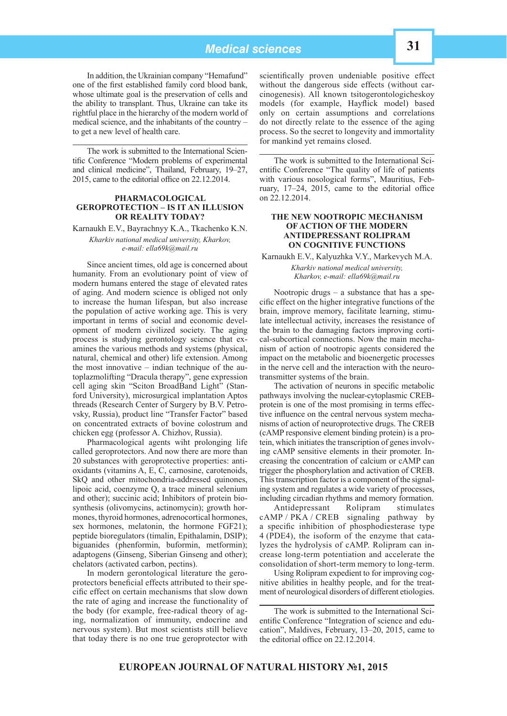In addition, the Ukrainian company "Hemafund" one of the first established family cord blood bank, whose ultimate goal is the preservation of cells and the ability to transplant. Thus, Ukraine can take its rightful place in the hierarchy of the modern world of medical science, and the inhabitants of the country – to get a new level of health care.

The work is submitted to the International Scientific Conference "Modern problems of experimental and clinical medicine", Thailand, February, 19–27,  $2015$ , came to the editorial office on  $22.12.2014$ .

### **PHARMACOLOGICAL GEROPROTECTION – IS IT AN ILLUSION OR REALITY TODAY?**

Karnaukh E.V., Bayrachnyy K.A., Tkachenko K.N. *Kharkiv national medical university, Kharkov, e-mail: ella69k@mail.ru*

Since ancient times, old age is concerned about humanity. From an evolutionary point of view of modern humans entered the stage of elevated rates of aging. And modern science is obliged not only to increase the human lifespan, but also increase the population of active working age. This is very important in terms of social and economic development of modern civilized society. The aging process is studying gerontology science that examines the various methods and systems (physical, natural, chemical and other) life extension. Among the most innovative – indian technique of the autoplazmolifting "Dracula therapy", gene expression cell aging skin "Sciton BroadBand Light" (Stanford University), microsurgical implantation Aptos threads (Research Center of Surgery by B.V. Petrovsky, Russia), product line "Transfer Factor" based on concentrated extracts of bovine colostrum and chicken egg (professor A. Chizhov, Russia).

Pharmacological agents wiht prolonging life called geroprotectors. And now there are more than 20 substances with geroprotective properties: antioxidants (vitamins A, E, C, carnosine, carotenoids, SkQ and other mitochondria-addressed quinones, lipoic acid, coenzyme Q, a trace mineral selenium and other); succinic acid; Inhibitors of protein biosynthesis (olivomycins, actinomycin); growth hormones, thyroid hormones, adrenocortical hormones, sex hormones, melatonin, the hormone FGF21); peptide bioregulators (timalin, Epithalamin, DSIP); biguanides (phenformin, buformin, metformin); adaptogens (Ginseng, Siberian Ginseng and other); chelators (activated carbon, pectins).

In modern gerontological literature the geroprotectors beneficial effects attributed to their specific effect on certain mechanisms that slow down the rate of aging and increase the functionality of the body (for example, free-radical theory of aging, normalization of immunity, endocrine and nervous system). But most scientists still believe that today there is no one true geroprotector with

scientifically proven undeniable positive effect without the dangerous side effects (without carcinogenesis). All known tsitogerontologicheskoy models (for example, Hayflick model) based only on certain assumptions and correlations do not directly relate to the essence of the aging process. So the secret to longevity and immortality for mankind yet remains closed.

The work is submitted to the International Scientific Conference "The quality of life of patients" with various nosological forms", Mauritius, February,  $17-24$ ,  $2015$ , came to the editorial office оn 22.12.2014.

### **THE NEW NOOTROPIC MECHANISM OF ACTION OF THE MODERN ANTIDEPRESSANT ROLIPRAM ON COGNITIVE FUNCTIONS**

Karnaukh E.V., Kalyuzhka V.Y., Markevych M.A.

*Kharkiv national medical university, Kharkov, e-mail: ella69k@mail.ru*

 Nootropic drugs – a substance that has a spe $c$ ific effect on the higher integrative functions of the brain, improve memory, facilitate learning, stimulate intellectual activity, increases the resistance of the brain to the damaging factors improving cortical-subcortical connections. Now the main mechanism of action of nootropic agents considered the impact on the metabolic and bioenergetic processes in the nerve cell and the interaction with the neurotransmitter systems of the brain.

The activation of neurons in specific metabolic pathways involving the nuclear-cytoplasmic CREBprotein is one of the most promising in terms effective influence on the central nervous system mechanisms of action of neuroprotective drugs. The CREB (cAMP responsive element binding protein) is a protein, which initiates the transcription of genes involving cAMP sensitive elements in their promoter. Increasing the concentration of calcium or cAMP can trigger the phosphorylation and activation of CREB. This transcription factor is a component of the signaling system and regulates a wide variety of processes, including circadian rhythms and memory formation.

Antidepressant Rolipram stimulates cAMP / PKA / CREB signaling pathway by a specific inhibition of phosphodiesterase type 4 (PDE4), the isoform of the enzyme that catalyzes the hydrolysis of cAMP. Rolipram can increase long-term potentiation and accelerate the consolidation of short-term memory to long-term.

Using Rolipram expedient to for improving cognitive abilities in healthy people, and for the treatment of neurological disorders of different etiologies.

The work is submitted to the International Scientific Conference "Integration of science and education", Maldives, February, 13–20, 2015, came to the editorial office on  $22.12.2014$ .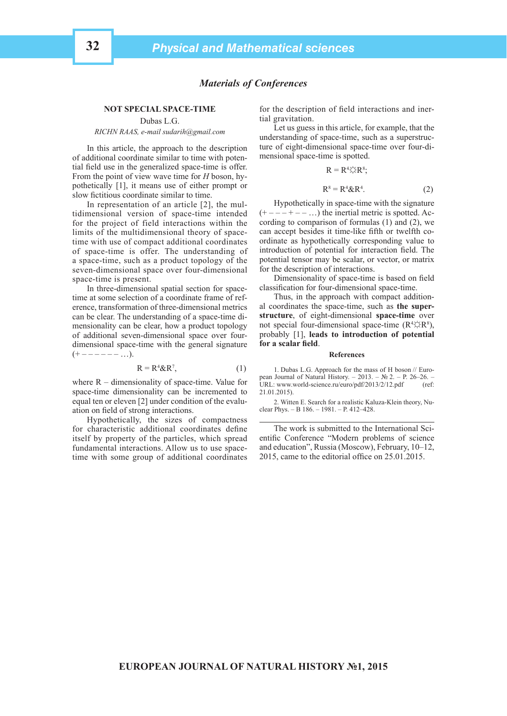# *Materials of Conferences*

# **NOT SPECIAL SPACE-TIME**

Dubas L.G.

# *RICHN RAAS, e-mail sudarih@gmail.com*

In this article, the approach to the description of additional coordinate similar to time with potential field use in the generalized space-time is offer. From the point of view wave time for *H* boson, hypothetically [1], it means use of either prompt or slow fictitious coordinate similar to time.

In representation of an article [2], the multidimensional version of space-time intended for the project of field interactions within the limits of the multidimensional theory of spacetime with use of compact additional coordinates of space-time is offer. The understanding of a space-time, such as a product topology of the seven-dimensional space over four-dimensional space-time is present.

In three-dimensional spatial section for spacetime at some selection of a coordinate frame of reference, transformation of three-dimensional metrics can be clear. The understanding of a space-time dimensionality can be clear, how a product topology of additional seven-dimensional space over fourdimensional space-time with the general signature  $(+ - - - - - - \dots).$ 

$$
R = R^4 \& R^7,\tag{1}
$$

where  $R$  – dimensionality of space-time. Value for space-time dimensionality can be incremented to equal ten or eleven [2] under condition of the evaluation on field of strong interactions.

Hypothetically, the sizes of compactness for characteristic additional coordinates define itself by property of the particles, which spread fundamental interactions. Allow us to use spacetime with some group of additional coordinates

for the description of field interactions and inertial gravitation.

Let us guess in this article, for example, that the understanding of space-time, such as a superstructure of eight-dimensional space-time over four-dimensional space-time is spotted.

$$
R = R^4 \nabla R^8;
$$

$$
R^8 = R^4 \& R^4. \tag{2}
$$

Hypothetically in space-time with the signature  $(+---+---)$  the inertial metric is spotted. According to comparison of formulas (1) and (2), we can accept besides it time-like fifth or twelfth coordinate as hypothetically corresponding value to introduction of potential for interaction field. The potential tensor may be scalar, or vector, or matrix for the description of interactions.

Dimensionality of space-time is based on field classification for four-dimensional space-time.

Thus, in the approach with compact additional coordinates the space-time, such as **the superstructure**, of eight-dimensional **space-time** over not special four-dimensional space-time  $(R^4 \n\widetilde{\times} R^8)$ , probably [1], **leads to introduction of potential**  for a scalar field.

#### **References**

1. Dubas L.G. Approach for the mass of H boson // European Journal of Natural History. – 2013. – № 2. – P. 26–26. – URL: www.world-science.ru/euro/pdf/2013/2/12.pdf (ref: URL: www.world-science.ru/euro/pdf/2013/2/12.pdf 21.01.2015).

2. Witten E. Search for a realistic Kaluza-Klein theory, Nuclear Phys. – B 186. – 1981. – Р. 412–428.

The work is submitted to the International Scientific Conference "Modern problems of science and education", Russia (Moscow), February, 10–12,  $2015$ , came to the editorial office on  $25.01.2015$ .